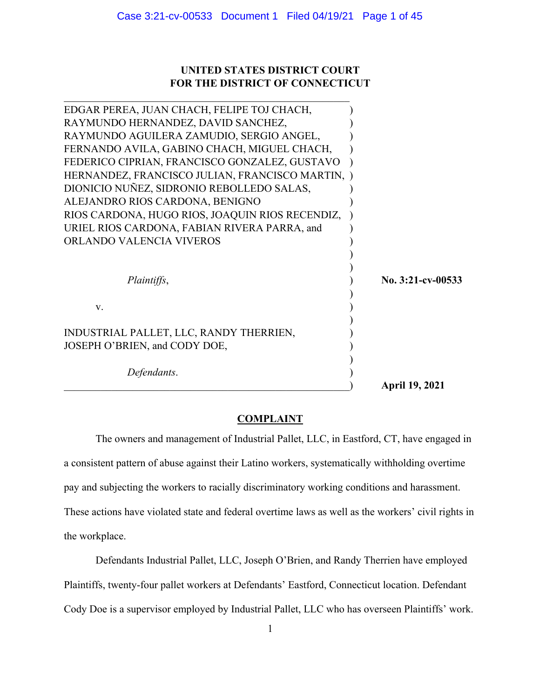# **UNITED STATES DISTRICT COURT FOR THE DISTRICT OF CONNECTICUT**

| Defendants.                                                              | <b>April 19, 2021</b> |
|--------------------------------------------------------------------------|-----------------------|
| INDUSTRIAL PALLET, LLC, RANDY THERRIEN,<br>JOSEPH O'BRIEN, and CODY DOE, |                       |
| V.                                                                       |                       |
| Plaintiffs,                                                              | No. 3:21-cv-00533     |
| ORLANDO VALENCIA VIVEROS                                                 |                       |
| URIEL RIOS CARDONA, FABIAN RIVERA PARRA, and                             |                       |
| RIOS CARDONA, HUGO RIOS, JOAQUIN RIOS RECENDIZ,                          |                       |
| ALEJANDRO RIOS CARDONA, BENIGNO                                          |                       |
| DIONICIO NUÑEZ, SIDRONIO REBOLLEDO SALAS,                                |                       |
| HERNANDEZ, FRANCISCO JULIAN, FRANCISCO MARTIN, )                         |                       |
| FEDERICO CIPRIAN, FRANCISCO GONZALEZ, GUSTAVO                            |                       |
| FERNANDO AVILA, GABINO CHACH, MIGUEL CHACH,                              |                       |
| RAYMUNDO AGUILERA ZAMUDIO, SERGIO ANGEL,                                 |                       |
| RAYMUNDO HERNANDEZ, DAVID SANCHEZ,                                       |                       |
| EDGAR PEREA, JUAN CHACH, FELIPE TOJ CHACH,                               |                       |

#### **COMPLAINT**

The owners and management of Industrial Pallet, LLC, in Eastford, CT, have engaged in a consistent pattern of abuse against their Latino workers, systematically withholding overtime pay and subjecting the workers to racially discriminatory working conditions and harassment. These actions have violated state and federal overtime laws as well as the workers' civil rights in the workplace.

Defendants Industrial Pallet, LLC, Joseph O'Brien, and Randy Therrien have employed Plaintiffs, twenty-four pallet workers at Defendants' Eastford, Connecticut location. Defendant Cody Doe is a supervisor employed by Industrial Pallet, LLC who has overseen Plaintiffs' work.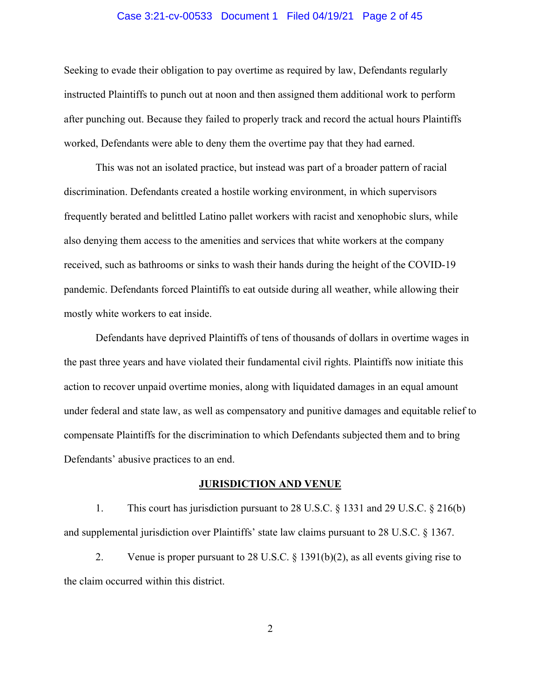# Case 3:21-cv-00533 Document 1 Filed 04/19/21 Page 2 of 45

Seeking to evade their obligation to pay overtime as required by law, Defendants regularly instructed Plaintiffs to punch out at noon and then assigned them additional work to perform after punching out. Because they failed to properly track and record the actual hours Plaintiffs worked, Defendants were able to deny them the overtime pay that they had earned.

This was not an isolated practice, but instead was part of a broader pattern of racial discrimination. Defendants created a hostile working environment, in which supervisors frequently berated and belittled Latino pallet workers with racist and xenophobic slurs, while also denying them access to the amenities and services that white workers at the company received, such as bathrooms or sinks to wash their hands during the height of the COVID-19 pandemic. Defendants forced Plaintiffs to eat outside during all weather, while allowing their mostly white workers to eat inside.

Defendants have deprived Plaintiffs of tens of thousands of dollars in overtime wages in the past three years and have violated their fundamental civil rights. Plaintiffs now initiate this action to recover unpaid overtime monies, along with liquidated damages in an equal amount under federal and state law, as well as compensatory and punitive damages and equitable relief to compensate Plaintiffs for the discrimination to which Defendants subjected them and to bring Defendants' abusive practices to an end.

# **JURISDICTION AND VENUE**

1. This court has jurisdiction pursuant to 28 U.S.C. § 1331 and 29 U.S.C. § 216(b) and supplemental jurisdiction over Plaintiffs' state law claims pursuant to 28 U.S.C. § 1367.

2. Venue is proper pursuant to 28 U.S.C. § 1391(b)(2), as all events giving rise to the claim occurred within this district.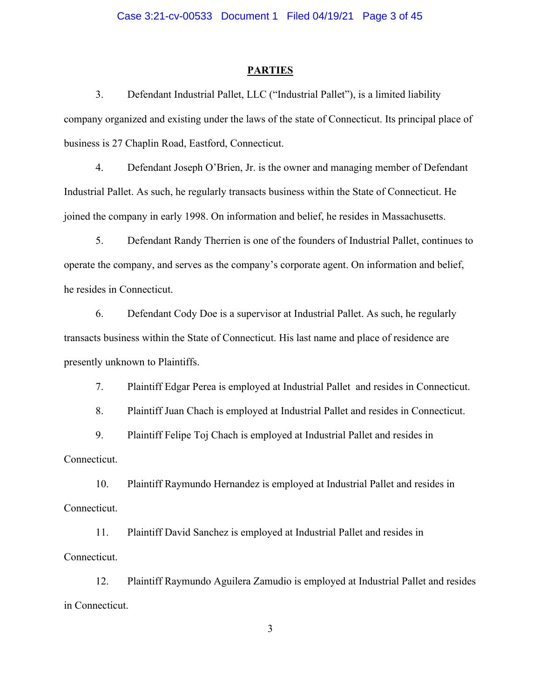#### **PARTIES**

3. Defendant Industrial Pallet, LLC ("Industrial Pallet"), is a limited liability company organized and existing under the laws of the state of Connecticut. Its principal place of business is 27 Chaplin Road, Eastford, Connecticut.

4. Defendant Joseph O'Brien, Jr. is the owner and managing member of Defendant Industrial Pallet. As such, he regularly transacts business within the State of Connecticut. He joined the company in early 1998. On information and belief, he resides in Massachusetts.

5. Defendant Randy Therrien is one of the founders of Industrial Pallet, continues to operate the company, and serves as the company's corporate agent. On information and belief, he resides in Connecticut.

6. Defendant Cody Doe is a supervisor at Industrial Pallet. As such, he regularly transacts business within the State of Connecticut. His last name and place of residence are presently unknown to Plaintiffs.

7. Plaintiff Edgar Perea is employed at Industrial Pallet and resides in Connecticut.

8. Plaintiff Juan Chach is employed at Industrial Pallet and resides in Connecticut.

9. Plaintiff Felipe Toj Chach is employed at Industrial Pallet and resides in Connecticut.

10. Plaintiff Raymundo Hernandez is employed at Industrial Pallet and resides in Connecticut.

11. Plaintiff David Sanchez is employed at Industrial Pallet and resides in Connecticut.

12. Plaintiff Raymundo Aguilera Zamudio is employed at Industrial Pallet and resides in Connecticut.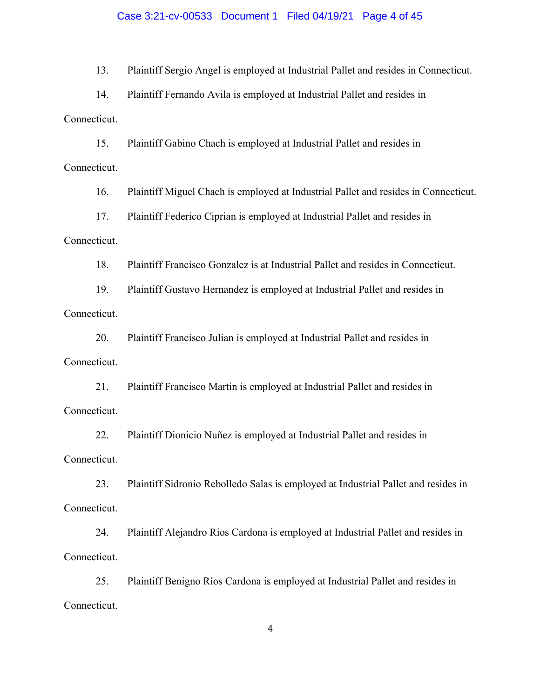### Case 3:21-cv-00533 Document 1 Filed 04/19/21 Page 4 of 45

13. Plaintiff Sergio Angel is employed at Industrial Pallet and resides in Connecticut.

14. Plaintiff Fernando Avila is employed at Industrial Pallet and resides in Connecticut.

15. Plaintiff Gabino Chach is employed at Industrial Pallet and resides in Connecticut.

16. Plaintiff Miguel Chach is employed at Industrial Pallet and resides in Connecticut.

17. Plaintiff Federico Ciprian is employed at Industrial Pallet and resides in

# Connecticut.

18. Plaintiff Francisco Gonzalez is at Industrial Pallet and resides in Connecticut.

19. Plaintiff Gustavo Hernandez is employed at Industrial Pallet and resides in Connecticut.

20. Plaintiff Francisco Julian is employed at Industrial Pallet and resides in Connecticut.

21. Plaintiff Francisco Martin is employed at Industrial Pallet and resides in Connecticut.

22. Plaintiff Dionicio Nuñez is employed at Industrial Pallet and resides in Connecticut.

23. Plaintiff Sidronio Rebolledo Salas is employed at Industrial Pallet and resides in Connecticut.

24. Plaintiff Alejandro Ríos Cardona is employed at Industrial Pallet and resides in Connecticut.

25. Plaintiff Benigno Ríos Cardona is employed at Industrial Pallet and resides in Connecticut.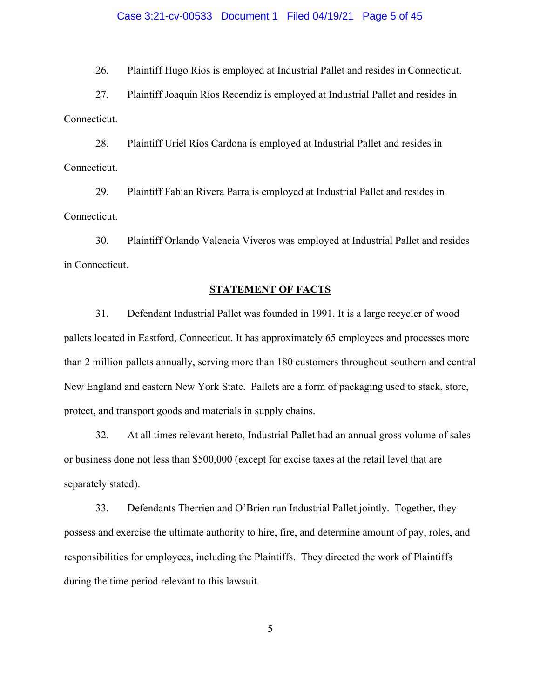#### Case 3:21-cv-00533 Document 1 Filed 04/19/21 Page 5 of 45

26. Plaintiff Hugo Ríos is employed at Industrial Pallet and resides in Connecticut.

27. Plaintiff Joaquin Ríos Recendiz is employed at Industrial Pallet and resides in Connecticut.

28. Plaintiff Uriel Ríos Cardona is employed at Industrial Pallet and resides in Connecticut.

29. Plaintiff Fabian Rivera Parra is employed at Industrial Pallet and resides in Connecticut.

30. Plaintiff Orlando Valencia Viveros was employed at Industrial Pallet and resides in Connecticut.

#### **STATEMENT OF FACTS**

31. Defendant Industrial Pallet was founded in 1991. It is a large recycler of wood pallets located in Eastford, Connecticut. It has approximately 65 employees and processes more than 2 million pallets annually, serving more than 180 customers throughout southern and central New England and eastern New York State. Pallets are a form of packaging used to stack, store, protect, and transport goods and materials in supply chains.

32. At all times relevant hereto, Industrial Pallet had an annual gross volume of sales or business done not less than \$500,000 (except for excise taxes at the retail level that are separately stated).

33. Defendants Therrien and O'Brien run Industrial Pallet jointly. Together, they possess and exercise the ultimate authority to hire, fire, and determine amount of pay, roles, and responsibilities for employees, including the Plaintiffs. They directed the work of Plaintiffs during the time period relevant to this lawsuit.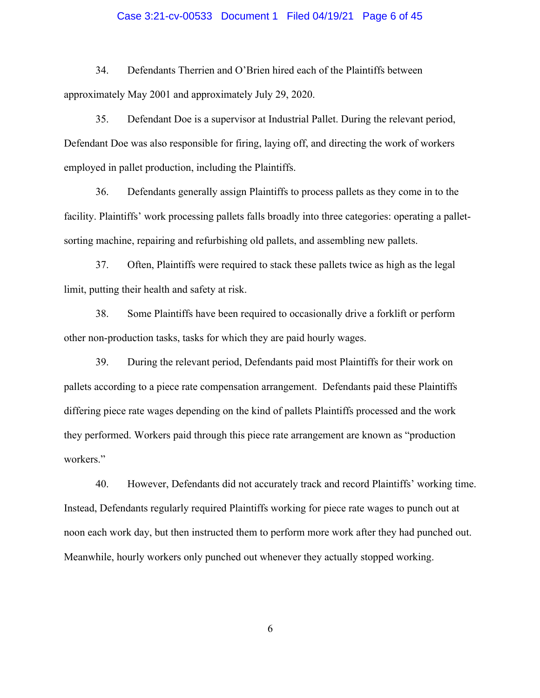# Case 3:21-cv-00533 Document 1 Filed 04/19/21 Page 6 of 45

34. Defendants Therrien and O'Brien hired each of the Plaintiffs between approximately May 2001 and approximately July 29, 2020.

35. Defendant Doe is a supervisor at Industrial Pallet. During the relevant period, Defendant Doe was also responsible for firing, laying off, and directing the work of workers employed in pallet production, including the Plaintiffs.

36. Defendants generally assign Plaintiffs to process pallets as they come in to the facility. Plaintiffs' work processing pallets falls broadly into three categories: operating a palletsorting machine, repairing and refurbishing old pallets, and assembling new pallets.

37. Often, Plaintiffs were required to stack these pallets twice as high as the legal limit, putting their health and safety at risk.

38. Some Plaintiffs have been required to occasionally drive a forklift or perform other non-production tasks, tasks for which they are paid hourly wages.

39. During the relevant period, Defendants paid most Plaintiffs for their work on pallets according to a piece rate compensation arrangement. Defendants paid these Plaintiffs differing piece rate wages depending on the kind of pallets Plaintiffs processed and the work they performed. Workers paid through this piece rate arrangement are known as "production workers."

40. However, Defendants did not accurately track and record Plaintiffs' working time. Instead, Defendants regularly required Plaintiffs working for piece rate wages to punch out at noon each work day, but then instructed them to perform more work after they had punched out. Meanwhile, hourly workers only punched out whenever they actually stopped working.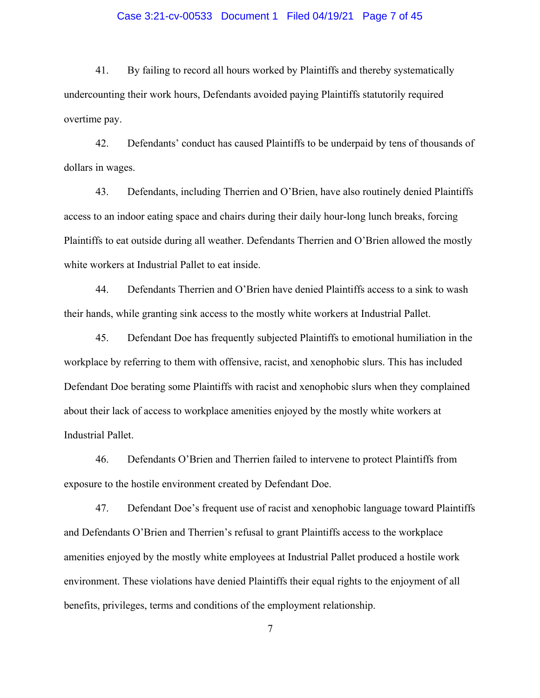# Case 3:21-cv-00533 Document 1 Filed 04/19/21 Page 7 of 45

41. By failing to record all hours worked by Plaintiffs and thereby systematically undercounting their work hours, Defendants avoided paying Plaintiffs statutorily required overtime pay.

42. Defendants' conduct has caused Plaintiffs to be underpaid by tens of thousands of dollars in wages.

43. Defendants, including Therrien and O'Brien, have also routinely denied Plaintiffs access to an indoor eating space and chairs during their daily hour-long lunch breaks, forcing Plaintiffs to eat outside during all weather. Defendants Therrien and O'Brien allowed the mostly white workers at Industrial Pallet to eat inside.

44. Defendants Therrien and O'Brien have denied Plaintiffs access to a sink to wash their hands, while granting sink access to the mostly white workers at Industrial Pallet.

45. Defendant Doe has frequently subjected Plaintiffs to emotional humiliation in the workplace by referring to them with offensive, racist, and xenophobic slurs. This has included Defendant Doe berating some Plaintiffs with racist and xenophobic slurs when they complained about their lack of access to workplace amenities enjoyed by the mostly white workers at Industrial Pallet.

46. Defendants O'Brien and Therrien failed to intervene to protect Plaintiffs from exposure to the hostile environment created by Defendant Doe.

47. Defendant Doe's frequent use of racist and xenophobic language toward Plaintiffs and Defendants O'Brien and Therrien's refusal to grant Plaintiffs access to the workplace amenities enjoyed by the mostly white employees at Industrial Pallet produced a hostile work environment. These violations have denied Plaintiffs their equal rights to the enjoyment of all benefits, privileges, terms and conditions of the employment relationship.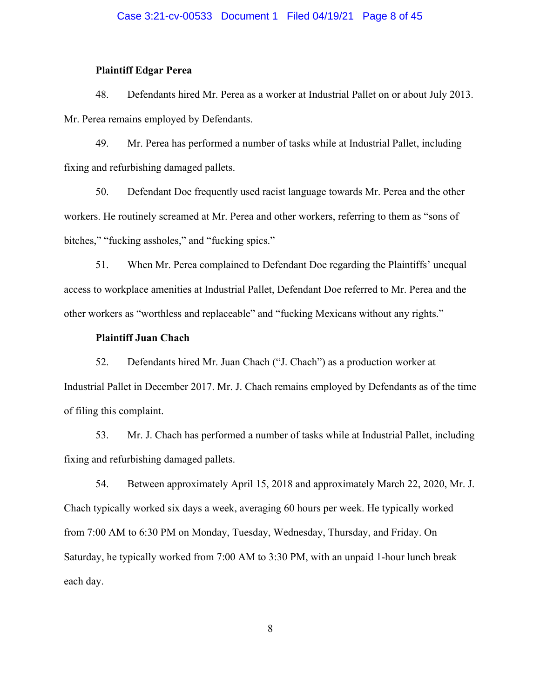# Case 3:21-cv-00533 Document 1 Filed 04/19/21 Page 8 of 45

# **Plaintiff Edgar Perea**

48. Defendants hired Mr. Perea as a worker at Industrial Pallet on or about July 2013. Mr. Perea remains employed by Defendants.

49. Mr. Perea has performed a number of tasks while at Industrial Pallet, including fixing and refurbishing damaged pallets.

50. Defendant Doe frequently used racist language towards Mr. Perea and the other workers. He routinely screamed at Mr. Perea and other workers, referring to them as "sons of bitches," "fucking assholes," and "fucking spics."

51. When Mr. Perea complained to Defendant Doe regarding the Plaintiffs' unequal access to workplace amenities at Industrial Pallet, Defendant Doe referred to Mr. Perea and the other workers as "worthless and replaceable" and "fucking Mexicans without any rights."

# **Plaintiff Juan Chach**

52. Defendants hired Mr. Juan Chach ("J. Chach") as a production worker at Industrial Pallet in December 2017. Mr. J. Chach remains employed by Defendants as of the time of filing this complaint.

53. Mr. J. Chach has performed a number of tasks while at Industrial Pallet, including fixing and refurbishing damaged pallets.

54. Between approximately April 15, 2018 and approximately March 22, 2020, Mr. J. Chach typically worked six days a week, averaging 60 hours per week. He typically worked from 7:00 AM to 6:30 PM on Monday, Tuesday, Wednesday, Thursday, and Friday. On Saturday, he typically worked from 7:00 AM to 3:30 PM, with an unpaid 1-hour lunch break each day.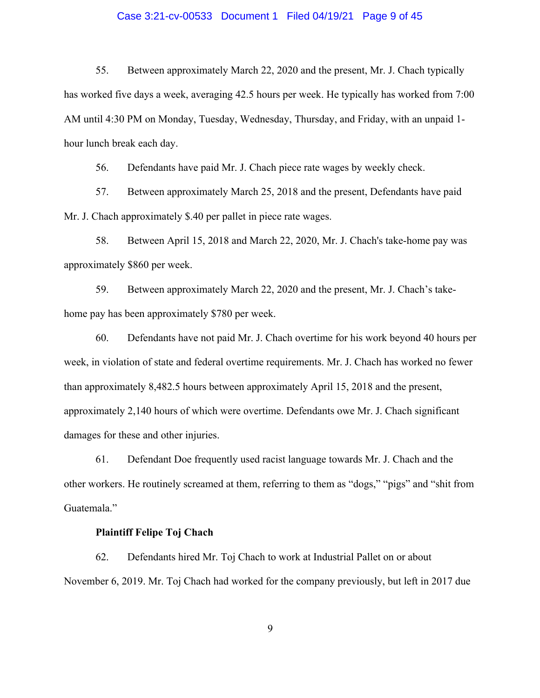# Case 3:21-cv-00533 Document 1 Filed 04/19/21 Page 9 of 45

55. Between approximately March 22, 2020 and the present, Mr. J. Chach typically has worked five days a week, averaging 42.5 hours per week. He typically has worked from 7:00 AM until 4:30 PM on Monday, Tuesday, Wednesday, Thursday, and Friday, with an unpaid 1 hour lunch break each day.

56. Defendants have paid Mr. J. Chach piece rate wages by weekly check.

57. Between approximately March 25, 2018 and the present, Defendants have paid Mr. J. Chach approximately \$.40 per pallet in piece rate wages.

58. Between April 15, 2018 and March 22, 2020, Mr. J. Chach's take-home pay was approximately \$860 per week.

59. Between approximately March 22, 2020 and the present, Mr. J. Chach's takehome pay has been approximately \$780 per week.

60. Defendants have not paid Mr. J. Chach overtime for his work beyond 40 hours per week, in violation of state and federal overtime requirements. Mr. J. Chach has worked no fewer than approximately 8,482.5 hours between approximately April 15, 2018 and the present, approximately 2,140 hours of which were overtime. Defendants owe Mr. J. Chach significant damages for these and other injuries.

61. Defendant Doe frequently used racist language towards Mr. J. Chach and the other workers. He routinely screamed at them, referring to them as "dogs," "pigs" and "shit from Guatemala."

# **Plaintiff Felipe Toj Chach**

62. Defendants hired Mr. Toj Chach to work at Industrial Pallet on or about November 6, 2019. Mr. Toj Chach had worked for the company previously, but left in 2017 due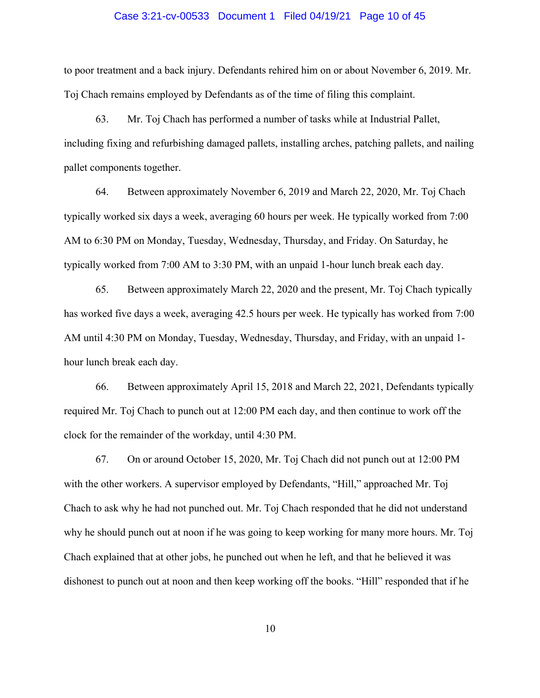#### Case 3:21-cv-00533 Document 1 Filed 04/19/21 Page 10 of 45

to poor treatment and a back injury. Defendants rehired him on or about November 6, 2019. Mr. Toj Chach remains employed by Defendants as of the time of filing this complaint.

63. Mr. Toj Chach has performed a number of tasks while at Industrial Pallet, including fixing and refurbishing damaged pallets, installing arches, patching pallets, and nailing pallet components together.

64. Between approximately November 6, 2019 and March 22, 2020, Mr. Toj Chach typically worked six days a week, averaging 60 hours per week. He typically worked from 7:00 AM to 6:30 PM on Monday, Tuesday, Wednesday, Thursday, and Friday. On Saturday, he typically worked from 7:00 AM to 3:30 PM, with an unpaid 1-hour lunch break each day.

65. Between approximately March 22, 2020 and the present, Mr. Toj Chach typically has worked five days a week, averaging 42.5 hours per week. He typically has worked from 7:00 AM until 4:30 PM on Monday, Tuesday, Wednesday, Thursday, and Friday, with an unpaid 1 hour lunch break each day.

66. Between approximately April 15, 2018 and March 22, 2021, Defendants typically required Mr. Toj Chach to punch out at 12:00 PM each day, and then continue to work off the clock for the remainder of the workday, until 4:30 PM.

67. On or around October 15, 2020, Mr. Toj Chach did not punch out at 12:00 PM with the other workers. A supervisor employed by Defendants, "Hill," approached Mr. Toj Chach to ask why he had not punched out. Mr. Toj Chach responded that he did not understand why he should punch out at noon if he was going to keep working for many more hours. Mr. Toj Chach explained that at other jobs, he punched out when he left, and that he believed it was dishonest to punch out at noon and then keep working off the books. "Hill" responded that if he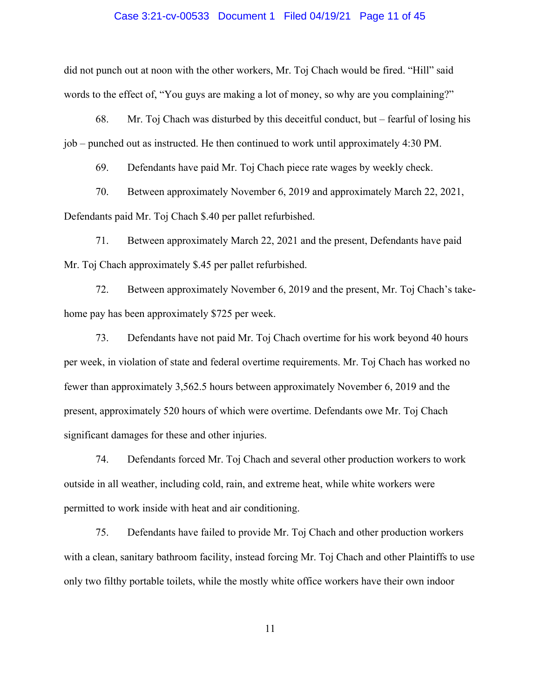#### Case 3:21-cv-00533 Document 1 Filed 04/19/21 Page 11 of 45

did not punch out at noon with the other workers, Mr. Toj Chach would be fired. "Hill" said words to the effect of, "You guys are making a lot of money, so why are you complaining?"

68. Mr. Toj Chach was disturbed by this deceitful conduct, but – fearful of losing his job – punched out as instructed. He then continued to work until approximately 4:30 PM.

69. Defendants have paid Mr. Toj Chach piece rate wages by weekly check.

70. Between approximately November 6, 2019 and approximately March 22, 2021, Defendants paid Mr. Toj Chach \$.40 per pallet refurbished.

71. Between approximately March 22, 2021 and the present, Defendants have paid Mr. Toj Chach approximately \$.45 per pallet refurbished.

72. Between approximately November 6, 2019 and the present, Mr. Toj Chach's takehome pay has been approximately \$725 per week.

73. Defendants have not paid Mr. Toj Chach overtime for his work beyond 40 hours per week, in violation of state and federal overtime requirements. Mr. Toj Chach has worked no fewer than approximately 3,562.5 hours between approximately November 6, 2019 and the present, approximately 520 hours of which were overtime. Defendants owe Mr. Toj Chach significant damages for these and other injuries.

74. Defendants forced Mr. Toj Chach and several other production workers to work outside in all weather, including cold, rain, and extreme heat, while white workers were permitted to work inside with heat and air conditioning.

75. Defendants have failed to provide Mr. Toj Chach and other production workers with a clean, sanitary bathroom facility, instead forcing Mr. Toj Chach and other Plaintiffs to use only two filthy portable toilets, while the mostly white office workers have their own indoor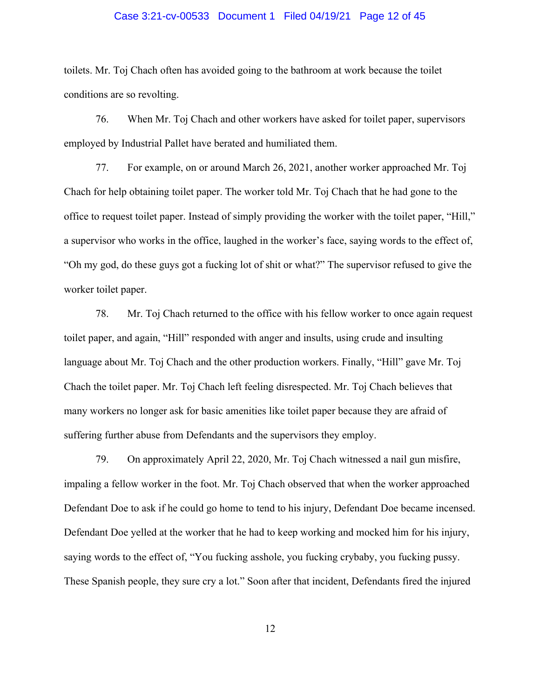# Case 3:21-cv-00533 Document 1 Filed 04/19/21 Page 12 of 45

toilets. Mr. Toj Chach often has avoided going to the bathroom at work because the toilet conditions are so revolting.

76. When Mr. Toj Chach and other workers have asked for toilet paper, supervisors employed by Industrial Pallet have berated and humiliated them.

77. For example, on or around March 26, 2021, another worker approached Mr. Toj Chach for help obtaining toilet paper. The worker told Mr. Toj Chach that he had gone to the office to request toilet paper. Instead of simply providing the worker with the toilet paper, "Hill," a supervisor who works in the office, laughed in the worker's face, saying words to the effect of, "Oh my god, do these guys got a fucking lot of shit or what?" The supervisor refused to give the worker toilet paper.

78. Mr. Toj Chach returned to the office with his fellow worker to once again request toilet paper, and again, "Hill" responded with anger and insults, using crude and insulting language about Mr. Toj Chach and the other production workers. Finally, "Hill" gave Mr. Toj Chach the toilet paper. Mr. Toj Chach left feeling disrespected. Mr. Toj Chach believes that many workers no longer ask for basic amenities like toilet paper because they are afraid of suffering further abuse from Defendants and the supervisors they employ.

79. On approximately April 22, 2020, Mr. Toj Chach witnessed a nail gun misfire, impaling a fellow worker in the foot. Mr. Toj Chach observed that when the worker approached Defendant Doe to ask if he could go home to tend to his injury, Defendant Doe became incensed. Defendant Doe yelled at the worker that he had to keep working and mocked him for his injury, saying words to the effect of, "You fucking asshole, you fucking crybaby, you fucking pussy. These Spanish people, they sure cry a lot." Soon after that incident, Defendants fired the injured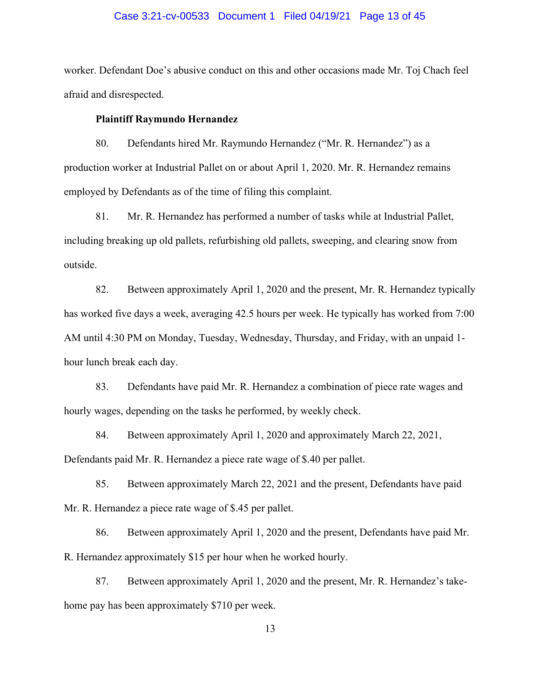# Case 3:21-cv-00533 Document 1 Filed 04/19/21 Page 13 of 45

worker. Defendant Doe's abusive conduct on this and other occasions made Mr. Toj Chach feel afraid and disrespected.

# **Plaintiff Raymundo Hernandez**

80. Defendants hired Mr. Raymundo Hernandez ("Mr. R. Hernandez") as a production worker at Industrial Pallet on or about April 1, 2020. Mr. R. Hernandez remains employed by Defendants as of the time of filing this complaint.

81. Mr. R. Hernandez has performed a number of tasks while at Industrial Pallet, including breaking up old pallets, refurbishing old pallets, sweeping, and clearing snow from outside.

82. Between approximately April 1, 2020 and the present, Mr. R. Hernandez typically has worked five days a week, averaging 42.5 hours per week. He typically has worked from 7:00 AM until 4:30 PM on Monday, Tuesday, Wednesday, Thursday, and Friday, with an unpaid 1 hour lunch break each day.

83. Defendants have paid Mr. R. Hernandez a combination of piece rate wages and hourly wages, depending on the tasks he performed, by weekly check.

84. Between approximately April 1, 2020 and approximately March 22, 2021, Defendants paid Mr. R. Hernandez a piece rate wage of \$.40 per pallet.

85. Between approximately March 22, 2021 and the present, Defendants have paid Mr. R. Hernandez a piece rate wage of \$.45 per pallet.

86. Between approximately April 1, 2020 and the present, Defendants have paid Mr. R. Hernandez approximately \$15 per hour when he worked hourly.

87. Between approximately April 1, 2020 and the present, Mr. R. Hernandez's takehome pay has been approximately \$710 per week.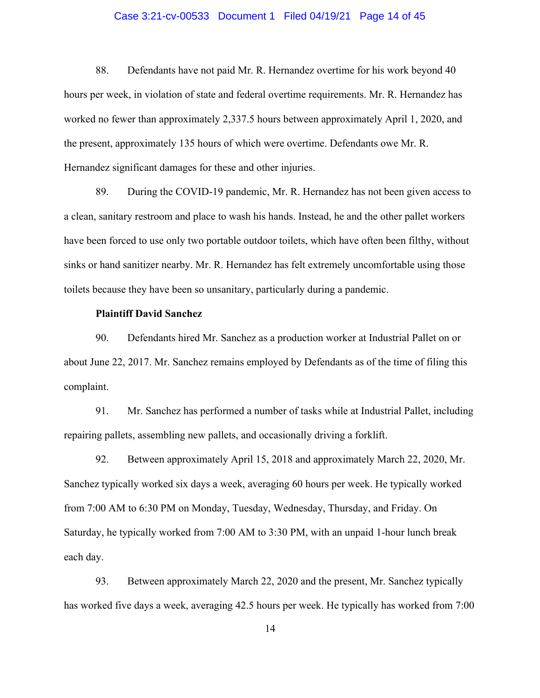# Case 3:21-cv-00533 Document 1 Filed 04/19/21 Page 14 of 45

88. Defendants have not paid Mr. R. Hernandez overtime for his work beyond 40 hours per week, in violation of state and federal overtime requirements. Mr. R. Hernandez has worked no fewer than approximately 2,337.5 hours between approximately April 1, 2020, and the present, approximately 135 hours of which were overtime. Defendants owe Mr. R. Hernandez significant damages for these and other injuries.

89. During the COVID-19 pandemic, Mr. R. Hernandez has not been given access to a clean, sanitary restroom and place to wash his hands. Instead, he and the other pallet workers have been forced to use only two portable outdoor toilets, which have often been filthy, without sinks or hand sanitizer nearby. Mr. R. Hernandez has felt extremely uncomfortable using those toilets because they have been so unsanitary, particularly during a pandemic.

# **Plaintiff David Sanchez**

90. Defendants hired Mr. Sanchez as a production worker at Industrial Pallet on or about June 22, 2017. Mr. Sanchez remains employed by Defendants as of the time of filing this complaint.

91. Mr. Sanchez has performed a number of tasks while at Industrial Pallet, including repairing pallets, assembling new pallets, and occasionally driving a forklift.

92. Between approximately April 15, 2018 and approximately March 22, 2020, Mr. Sanchez typically worked six days a week, averaging 60 hours per week. He typically worked from 7:00 AM to 6:30 PM on Monday, Tuesday, Wednesday, Thursday, and Friday. On Saturday, he typically worked from 7:00 AM to 3:30 PM, with an unpaid 1-hour lunch break each day.

93. Between approximately March 22, 2020 and the present, Mr. Sanchez typically has worked five days a week, averaging 42.5 hours per week. He typically has worked from 7:00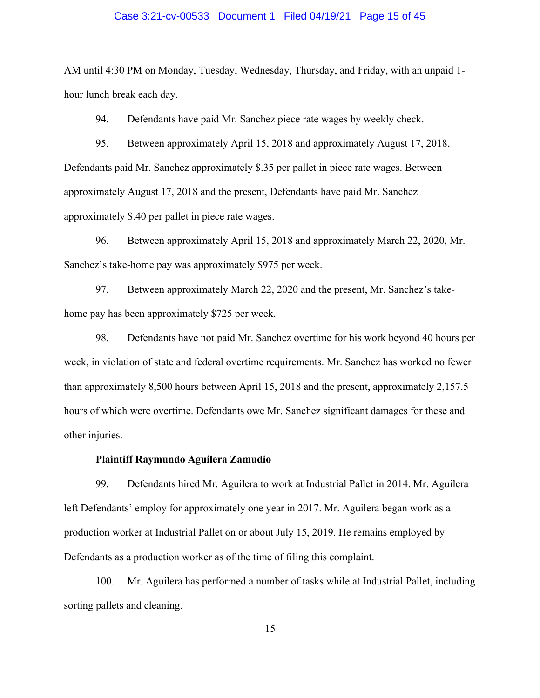# Case 3:21-cv-00533 Document 1 Filed 04/19/21 Page 15 of 45

AM until 4:30 PM on Monday, Tuesday, Wednesday, Thursday, and Friday, with an unpaid 1 hour lunch break each day.

94. Defendants have paid Mr. Sanchez piece rate wages by weekly check.

95. Between approximately April 15, 2018 and approximately August 17, 2018, Defendants paid Mr. Sanchez approximately \$.35 per pallet in piece rate wages. Between approximately August 17, 2018 and the present, Defendants have paid Mr. Sanchez approximately \$.40 per pallet in piece rate wages.

96. Between approximately April 15, 2018 and approximately March 22, 2020, Mr. Sanchez's take-home pay was approximately \$975 per week.

97. Between approximately March 22, 2020 and the present, Mr. Sanchez's takehome pay has been approximately \$725 per week.

98. Defendants have not paid Mr. Sanchez overtime for his work beyond 40 hours per week, in violation of state and federal overtime requirements. Mr. Sanchez has worked no fewer than approximately 8,500 hours between April 15, 2018 and the present, approximately 2,157.5 hours of which were overtime. Defendants owe Mr. Sanchez significant damages for these and other injuries.

# **Plaintiff Raymundo Aguilera Zamudio**

99. Defendants hired Mr. Aguilera to work at Industrial Pallet in 2014. Mr. Aguilera left Defendants' employ for approximately one year in 2017. Mr. Aguilera began work as a production worker at Industrial Pallet on or about July 15, 2019. He remains employed by Defendants as a production worker as of the time of filing this complaint.

100. Mr. Aguilera has performed a number of tasks while at Industrial Pallet, including sorting pallets and cleaning.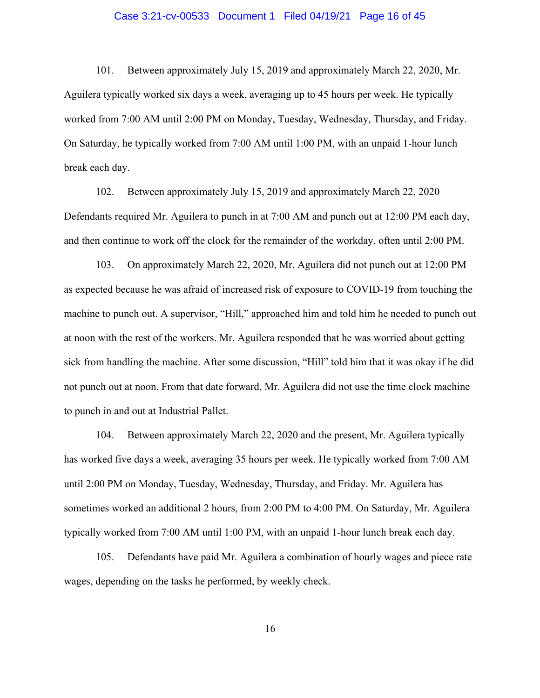# Case 3:21-cv-00533 Document 1 Filed 04/19/21 Page 16 of 45

101. Between approximately July 15, 2019 and approximately March 22, 2020, Mr. Aguilera typically worked six days a week, averaging up to 45 hours per week. He typically worked from 7:00 AM until 2:00 PM on Monday, Tuesday, Wednesday, Thursday, and Friday. On Saturday, he typically worked from 7:00 AM until 1:00 PM, with an unpaid 1-hour lunch break each day.

102. Between approximately July 15, 2019 and approximately March 22, 2020 Defendants required Mr. Aguilera to punch in at 7:00 AM and punch out at 12:00 PM each day, and then continue to work off the clock for the remainder of the workday, often until 2:00 PM.

103. On approximately March 22, 2020, Mr. Aguilera did not punch out at 12:00 PM as expected because he was afraid of increased risk of exposure to COVID-19 from touching the machine to punch out. A supervisor, "Hill," approached him and told him he needed to punch out at noon with the rest of the workers. Mr. Aguilera responded that he was worried about getting sick from handling the machine. After some discussion, "Hill" told him that it was okay if he did not punch out at noon. From that date forward, Mr. Aguilera did not use the time clock machine to punch in and out at Industrial Pallet.

104. Between approximately March 22, 2020 and the present, Mr. Aguilera typically has worked five days a week, averaging 35 hours per week. He typically worked from 7:00 AM until 2:00 PM on Monday, Tuesday, Wednesday, Thursday, and Friday. Mr. Aguilera has sometimes worked an additional 2 hours, from 2:00 PM to 4:00 PM. On Saturday, Mr. Aguilera typically worked from 7:00 AM until 1:00 PM, with an unpaid 1-hour lunch break each day.

105. Defendants have paid Mr. Aguilera a combination of hourly wages and piece rate wages, depending on the tasks he performed, by weekly check.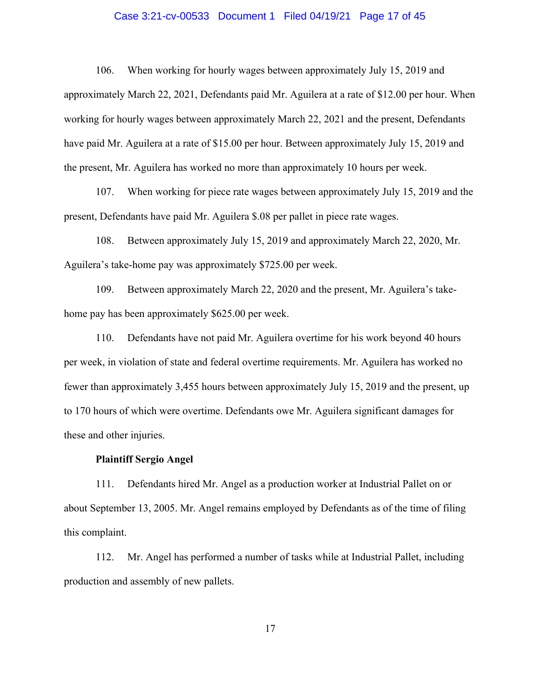# Case 3:21-cv-00533 Document 1 Filed 04/19/21 Page 17 of 45

106. When working for hourly wages between approximately July 15, 2019 and approximately March 22, 2021, Defendants paid Mr. Aguilera at a rate of \$12.00 per hour. When working for hourly wages between approximately March 22, 2021 and the present, Defendants have paid Mr. Aguilera at a rate of \$15.00 per hour. Between approximately July 15, 2019 and the present, Mr. Aguilera has worked no more than approximately 10 hours per week.

107. When working for piece rate wages between approximately July 15, 2019 and the present, Defendants have paid Mr. Aguilera \$.08 per pallet in piece rate wages.

108. Between approximately July 15, 2019 and approximately March 22, 2020, Mr. Aguilera's take-home pay was approximately \$725.00 per week.

109. Between approximately March 22, 2020 and the present, Mr. Aguilera's takehome pay has been approximately \$625.00 per week.

110. Defendants have not paid Mr. Aguilera overtime for his work beyond 40 hours per week, in violation of state and federal overtime requirements. Mr. Aguilera has worked no fewer than approximately 3,455 hours between approximately July 15, 2019 and the present, up to 170 hours of which were overtime. Defendants owe Mr. Aguilera significant damages for these and other injuries.

#### **Plaintiff Sergio Angel**

111. Defendants hired Mr. Angel as a production worker at Industrial Pallet on or about September 13, 2005. Mr. Angel remains employed by Defendants as of the time of filing this complaint.

112. Mr. Angel has performed a number of tasks while at Industrial Pallet, including production and assembly of new pallets.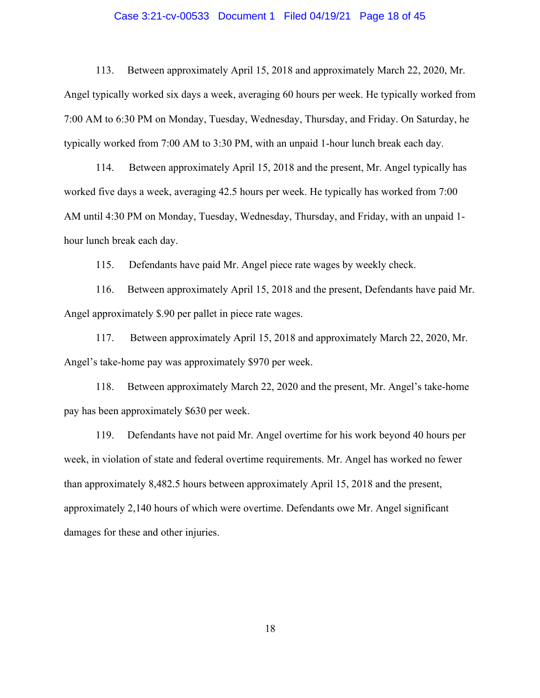# Case 3:21-cv-00533 Document 1 Filed 04/19/21 Page 18 of 45

113. Between approximately April 15, 2018 and approximately March 22, 2020, Mr. Angel typically worked six days a week, averaging 60 hours per week. He typically worked from 7:00 AM to 6:30 PM on Monday, Tuesday, Wednesday, Thursday, and Friday. On Saturday, he typically worked from 7:00 AM to 3:30 PM, with an unpaid 1-hour lunch break each day.

114. Between approximately April 15, 2018 and the present, Mr. Angel typically has worked five days a week, averaging 42.5 hours per week. He typically has worked from 7:00 AM until 4:30 PM on Monday, Tuesday, Wednesday, Thursday, and Friday, with an unpaid 1 hour lunch break each day.

115. Defendants have paid Mr. Angel piece rate wages by weekly check.

116. Between approximately April 15, 2018 and the present, Defendants have paid Mr. Angel approximately \$.90 per pallet in piece rate wages.

117. Between approximately April 15, 2018 and approximately March 22, 2020, Mr. Angel's take-home pay was approximately \$970 per week.

118. Between approximately March 22, 2020 and the present, Mr. Angel's take-home pay has been approximately \$630 per week.

119. Defendants have not paid Mr. Angel overtime for his work beyond 40 hours per week, in violation of state and federal overtime requirements. Mr. Angel has worked no fewer than approximately 8,482.5 hours between approximately April 15, 2018 and the present, approximately 2,140 hours of which were overtime. Defendants owe Mr. Angel significant damages for these and other injuries.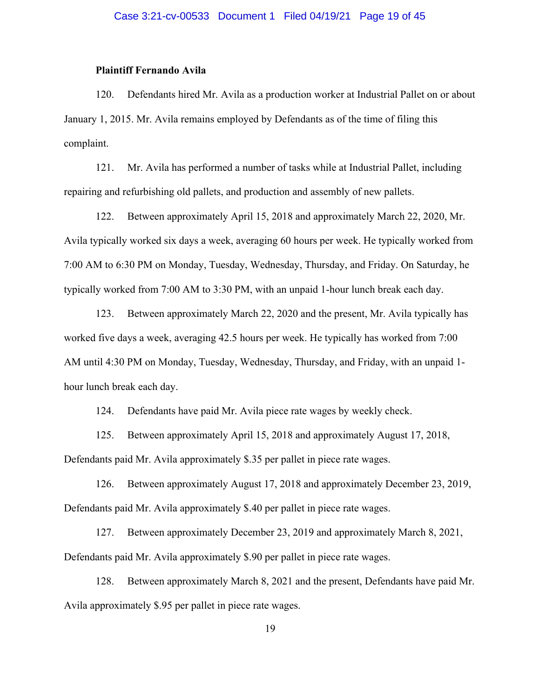# **Plaintiff Fernando Avila**

120. Defendants hired Mr. Avila as a production worker at Industrial Pallet on or about January 1, 2015. Mr. Avila remains employed by Defendants as of the time of filing this complaint.

121. Mr. Avila has performed a number of tasks while at Industrial Pallet, including repairing and refurbishing old pallets, and production and assembly of new pallets.

122. Between approximately April 15, 2018 and approximately March 22, 2020, Mr. Avila typically worked six days a week, averaging 60 hours per week. He typically worked from 7:00 AM to 6:30 PM on Monday, Tuesday, Wednesday, Thursday, and Friday. On Saturday, he typically worked from 7:00 AM to 3:30 PM, with an unpaid 1-hour lunch break each day.

123. Between approximately March 22, 2020 and the present, Mr. Avila typically has worked five days a week, averaging 42.5 hours per week. He typically has worked from 7:00 AM until 4:30 PM on Monday, Tuesday, Wednesday, Thursday, and Friday, with an unpaid 1 hour lunch break each day.

124. Defendants have paid Mr. Avila piece rate wages by weekly check.

125. Between approximately April 15, 2018 and approximately August 17, 2018, Defendants paid Mr. Avila approximately \$.35 per pallet in piece rate wages.

126. Between approximately August 17, 2018 and approximately December 23, 2019, Defendants paid Mr. Avila approximately \$.40 per pallet in piece rate wages.

127. Between approximately December 23, 2019 and approximately March 8, 2021, Defendants paid Mr. Avila approximately \$.90 per pallet in piece rate wages.

128. Between approximately March 8, 2021 and the present, Defendants have paid Mr. Avila approximately \$.95 per pallet in piece rate wages.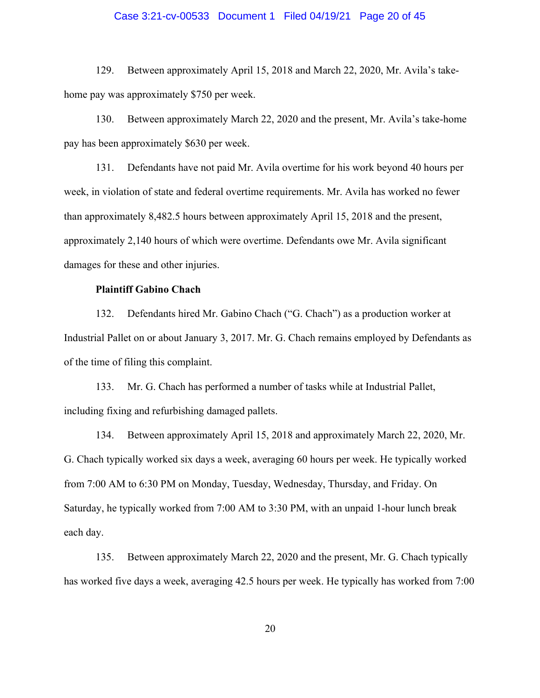# Case 3:21-cv-00533 Document 1 Filed 04/19/21 Page 20 of 45

129. Between approximately April 15, 2018 and March 22, 2020, Mr. Avila's takehome pay was approximately \$750 per week.

130. Between approximately March 22, 2020 and the present, Mr. Avila's take-home pay has been approximately \$630 per week.

131. Defendants have not paid Mr. Avila overtime for his work beyond 40 hours per week, in violation of state and federal overtime requirements. Mr. Avila has worked no fewer than approximately 8,482.5 hours between approximately April 15, 2018 and the present, approximately 2,140 hours of which were overtime. Defendants owe Mr. Avila significant damages for these and other injuries.

### **Plaintiff Gabino Chach**

132. Defendants hired Mr. Gabino Chach ("G. Chach") as a production worker at Industrial Pallet on or about January 3, 2017. Mr. G. Chach remains employed by Defendants as of the time of filing this complaint.

133. Mr. G. Chach has performed a number of tasks while at Industrial Pallet, including fixing and refurbishing damaged pallets.

134. Between approximately April 15, 2018 and approximately March 22, 2020, Mr. G. Chach typically worked six days a week, averaging 60 hours per week. He typically worked from 7:00 AM to 6:30 PM on Monday, Tuesday, Wednesday, Thursday, and Friday. On Saturday, he typically worked from 7:00 AM to 3:30 PM, with an unpaid 1-hour lunch break each day.

135. Between approximately March 22, 2020 and the present, Mr. G. Chach typically has worked five days a week, averaging 42.5 hours per week. He typically has worked from 7:00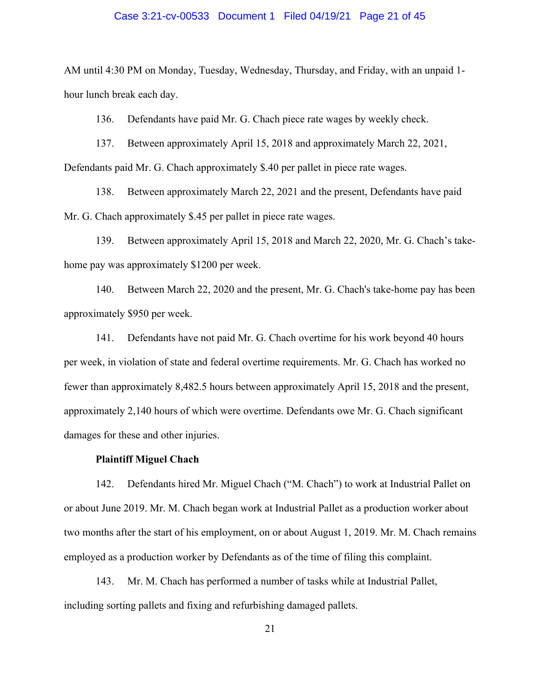# Case 3:21-cv-00533 Document 1 Filed 04/19/21 Page 21 of 45

AM until 4:30 PM on Monday, Tuesday, Wednesday, Thursday, and Friday, with an unpaid 1 hour lunch break each day.

136. Defendants have paid Mr. G. Chach piece rate wages by weekly check.

137. Between approximately April 15, 2018 and approximately March 22, 2021, Defendants paid Mr. G. Chach approximately \$.40 per pallet in piece rate wages.

138. Between approximately March 22, 2021 and the present, Defendants have paid Mr. G. Chach approximately \$.45 per pallet in piece rate wages.

139. Between approximately April 15, 2018 and March 22, 2020, Mr. G. Chach's takehome pay was approximately \$1200 per week.

140. Between March 22, 2020 and the present, Mr. G. Chach's take-home pay has been approximately \$950 per week.

141. Defendants have not paid Mr. G. Chach overtime for his work beyond 40 hours per week, in violation of state and federal overtime requirements. Mr. G. Chach has worked no fewer than approximately 8,482.5 hours between approximately April 15, 2018 and the present, approximately 2,140 hours of which were overtime. Defendants owe Mr. G. Chach significant damages for these and other injuries.

#### **Plaintiff Miguel Chach**

142. Defendants hired Mr. Miguel Chach ("M. Chach") to work at Industrial Pallet on or about June 2019. Mr. M. Chach began work at Industrial Pallet as a production worker about two months after the start of his employment, on or about August 1, 2019. Mr. M. Chach remains employed as a production worker by Defendants as of the time of filing this complaint.

143. Mr. M. Chach has performed a number of tasks while at Industrial Pallet, including sorting pallets and fixing and refurbishing damaged pallets.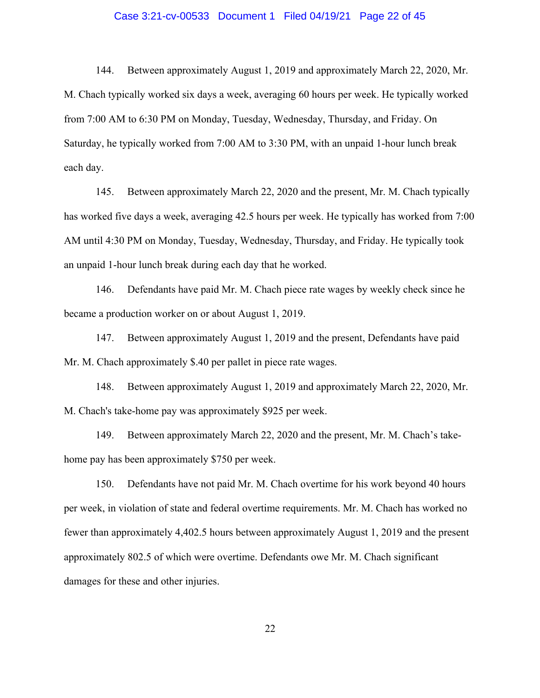# Case 3:21-cv-00533 Document 1 Filed 04/19/21 Page 22 of 45

144. Between approximately August 1, 2019 and approximately March 22, 2020, Mr. M. Chach typically worked six days a week, averaging 60 hours per week. He typically worked from 7:00 AM to 6:30 PM on Monday, Tuesday, Wednesday, Thursday, and Friday. On Saturday, he typically worked from 7:00 AM to 3:30 PM, with an unpaid 1-hour lunch break each day.

145. Between approximately March 22, 2020 and the present, Mr. M. Chach typically has worked five days a week, averaging 42.5 hours per week. He typically has worked from 7:00 AM until 4:30 PM on Monday, Tuesday, Wednesday, Thursday, and Friday. He typically took an unpaid 1-hour lunch break during each day that he worked.

146. Defendants have paid Mr. M. Chach piece rate wages by weekly check since he became a production worker on or about August 1, 2019.

147. Between approximately August 1, 2019 and the present, Defendants have paid Mr. M. Chach approximately \$.40 per pallet in piece rate wages.

148. Between approximately August 1, 2019 and approximately March 22, 2020, Mr. M. Chach's take-home pay was approximately \$925 per week.

149. Between approximately March 22, 2020 and the present, Mr. M. Chach's takehome pay has been approximately \$750 per week.

150. Defendants have not paid Mr. M. Chach overtime for his work beyond 40 hours per week, in violation of state and federal overtime requirements. Mr. M. Chach has worked no fewer than approximately 4,402.5 hours between approximately August 1, 2019 and the present approximately 802.5 of which were overtime. Defendants owe Mr. M. Chach significant damages for these and other injuries.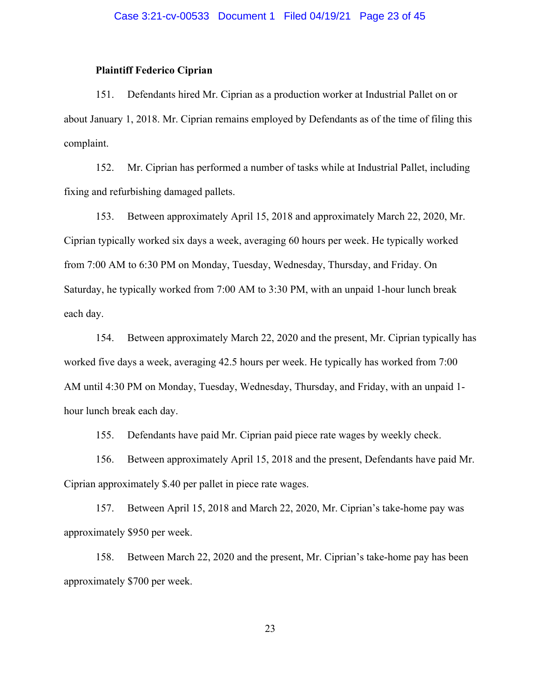# **Plaintiff Federico Ciprian**

151. Defendants hired Mr. Ciprian as a production worker at Industrial Pallet on or about January 1, 2018. Mr. Ciprian remains employed by Defendants as of the time of filing this complaint.

152. Mr. Ciprian has performed a number of tasks while at Industrial Pallet, including fixing and refurbishing damaged pallets.

153. Between approximately April 15, 2018 and approximately March 22, 2020, Mr. Ciprian typically worked six days a week, averaging 60 hours per week. He typically worked from 7:00 AM to 6:30 PM on Monday, Tuesday, Wednesday, Thursday, and Friday. On Saturday, he typically worked from 7:00 AM to 3:30 PM, with an unpaid 1-hour lunch break each day.

154. Between approximately March 22, 2020 and the present, Mr. Ciprian typically has worked five days a week, averaging 42.5 hours per week. He typically has worked from 7:00 AM until 4:30 PM on Monday, Tuesday, Wednesday, Thursday, and Friday, with an unpaid 1 hour lunch break each day.

155. Defendants have paid Mr. Ciprian paid piece rate wages by weekly check.

156. Between approximately April 15, 2018 and the present, Defendants have paid Mr. Ciprian approximately \$.40 per pallet in piece rate wages.

157. Between April 15, 2018 and March 22, 2020, Mr. Ciprian's take-home pay was approximately \$950 per week.

158. Between March 22, 2020 and the present, Mr. Ciprian's take-home pay has been approximately \$700 per week.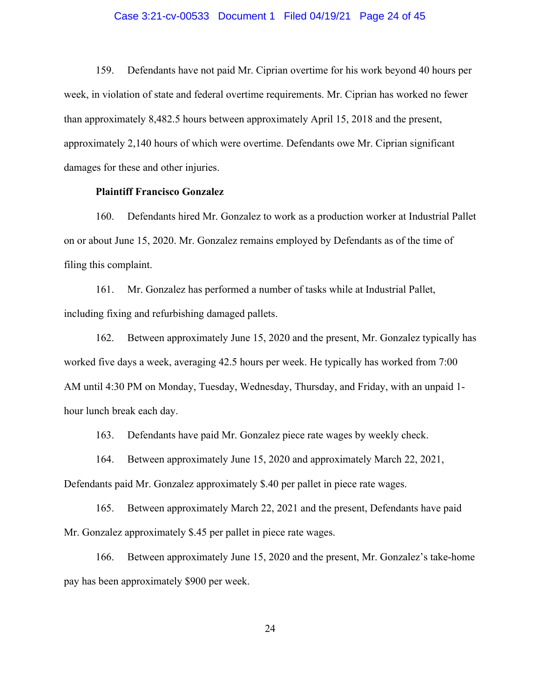### Case 3:21-cv-00533 Document 1 Filed 04/19/21 Page 24 of 45

159. Defendants have not paid Mr. Ciprian overtime for his work beyond 40 hours per week, in violation of state and federal overtime requirements. Mr. Ciprian has worked no fewer than approximately 8,482.5 hours between approximately April 15, 2018 and the present, approximately 2,140 hours of which were overtime. Defendants owe Mr. Ciprian significant damages for these and other injuries.

### **Plaintiff Francisco Gonzalez**

160. Defendants hired Mr. Gonzalez to work as a production worker at Industrial Pallet on or about June 15, 2020. Mr. Gonzalez remains employed by Defendants as of the time of filing this complaint.

161. Mr. Gonzalez has performed a number of tasks while at Industrial Pallet, including fixing and refurbishing damaged pallets.

162. Between approximately June 15, 2020 and the present, Mr. Gonzalez typically has worked five days a week, averaging 42.5 hours per week. He typically has worked from 7:00 AM until 4:30 PM on Monday, Tuesday, Wednesday, Thursday, and Friday, with an unpaid 1 hour lunch break each day.

163. Defendants have paid Mr. Gonzalez piece rate wages by weekly check.

164. Between approximately June 15, 2020 and approximately March 22, 2021,

Defendants paid Mr. Gonzalez approximately \$.40 per pallet in piece rate wages.

165. Between approximately March 22, 2021 and the present, Defendants have paid Mr. Gonzalez approximately \$.45 per pallet in piece rate wages.

166. Between approximately June 15, 2020 and the present, Mr. Gonzalez's take-home pay has been approximately \$900 per week.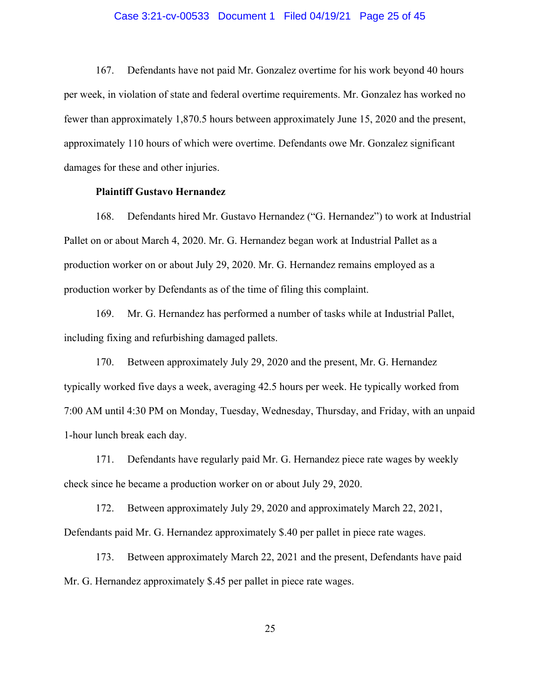### Case 3:21-cv-00533 Document 1 Filed 04/19/21 Page 25 of 45

167. Defendants have not paid Mr. Gonzalez overtime for his work beyond 40 hours per week, in violation of state and federal overtime requirements. Mr. Gonzalez has worked no fewer than approximately 1,870.5 hours between approximately June 15, 2020 and the present, approximately 110 hours of which were overtime. Defendants owe Mr. Gonzalez significant damages for these and other injuries.

### **Plaintiff Gustavo Hernandez**

168. Defendants hired Mr. Gustavo Hernandez ("G. Hernandez") to work at Industrial Pallet on or about March 4, 2020. Mr. G. Hernandez began work at Industrial Pallet as a production worker on or about July 29, 2020. Mr. G. Hernandez remains employed as a production worker by Defendants as of the time of filing this complaint.

169. Mr. G. Hernandez has performed a number of tasks while at Industrial Pallet, including fixing and refurbishing damaged pallets.

170. Between approximately July 29, 2020 and the present, Mr. G. Hernandez typically worked five days a week, averaging 42.5 hours per week. He typically worked from 7:00 AM until 4:30 PM on Monday, Tuesday, Wednesday, Thursday, and Friday, with an unpaid 1-hour lunch break each day.

171. Defendants have regularly paid Mr. G. Hernandez piece rate wages by weekly check since he became a production worker on or about July 29, 2020.

172. Between approximately July 29, 2020 and approximately March 22, 2021, Defendants paid Mr. G. Hernandez approximately \$.40 per pallet in piece rate wages.

173. Between approximately March 22, 2021 and the present, Defendants have paid Mr. G. Hernandez approximately \$.45 per pallet in piece rate wages.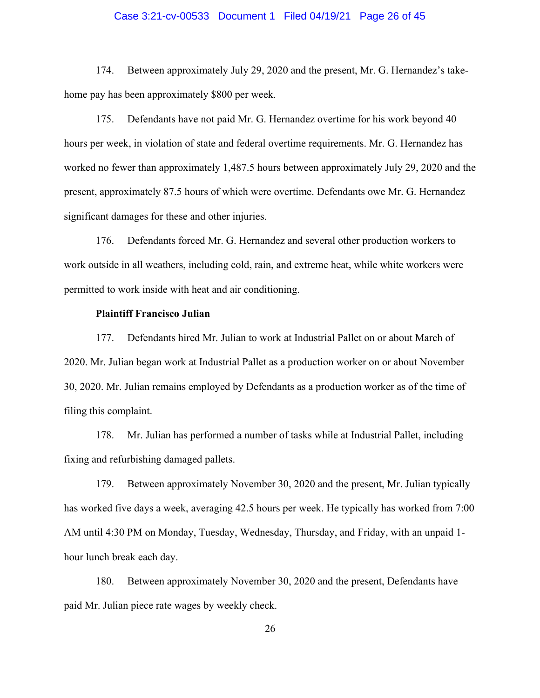# Case 3:21-cv-00533 Document 1 Filed 04/19/21 Page 26 of 45

174. Between approximately July 29, 2020 and the present, Mr. G. Hernandez's takehome pay has been approximately \$800 per week.

175. Defendants have not paid Mr. G. Hernandez overtime for his work beyond 40 hours per week, in violation of state and federal overtime requirements. Mr. G. Hernandez has worked no fewer than approximately 1,487.5 hours between approximately July 29, 2020 and the present, approximately 87.5 hours of which were overtime. Defendants owe Mr. G. Hernandez significant damages for these and other injuries.

176. Defendants forced Mr. G. Hernandez and several other production workers to work outside in all weathers, including cold, rain, and extreme heat, while white workers were permitted to work inside with heat and air conditioning.

# **Plaintiff Francisco Julian**

177. Defendants hired Mr. Julian to work at Industrial Pallet on or about March of 2020. Mr. Julian began work at Industrial Pallet as a production worker on or about November 30, 2020. Mr. Julian remains employed by Defendants as a production worker as of the time of filing this complaint.

178. Mr. Julian has performed a number of tasks while at Industrial Pallet, including fixing and refurbishing damaged pallets.

179. Between approximately November 30, 2020 and the present, Mr. Julian typically has worked five days a week, averaging 42.5 hours per week. He typically has worked from 7:00 AM until 4:30 PM on Monday, Tuesday, Wednesday, Thursday, and Friday, with an unpaid 1 hour lunch break each day.

180. Between approximately November 30, 2020 and the present, Defendants have paid Mr. Julian piece rate wages by weekly check.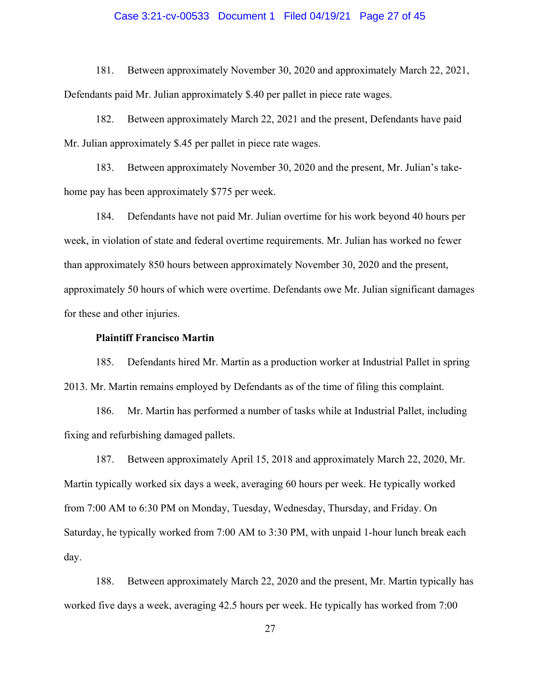# Case 3:21-cv-00533 Document 1 Filed 04/19/21 Page 27 of 45

181. Between approximately November 30, 2020 and approximately March 22, 2021, Defendants paid Mr. Julian approximately \$.40 per pallet in piece rate wages.

182. Between approximately March 22, 2021 and the present, Defendants have paid Mr. Julian approximately \$.45 per pallet in piece rate wages.

183. Between approximately November 30, 2020 and the present, Mr. Julian's takehome pay has been approximately \$775 per week.

184. Defendants have not paid Mr. Julian overtime for his work beyond 40 hours per week, in violation of state and federal overtime requirements. Mr. Julian has worked no fewer than approximately 850 hours between approximately November 30, 2020 and the present, approximately 50 hours of which were overtime. Defendants owe Mr. Julian significant damages for these and other injuries.

#### **Plaintiff Francisco Martin**

185. Defendants hired Mr. Martin as a production worker at Industrial Pallet in spring 2013. Mr. Martin remains employed by Defendants as of the time of filing this complaint.

186. Mr. Martin has performed a number of tasks while at Industrial Pallet, including fixing and refurbishing damaged pallets.

187. Between approximately April 15, 2018 and approximately March 22, 2020, Mr. Martin typically worked six days a week, averaging 60 hours per week. He typically worked from 7:00 AM to 6:30 PM on Monday, Tuesday, Wednesday, Thursday, and Friday. On Saturday, he typically worked from 7:00 AM to 3:30 PM, with unpaid 1-hour lunch break each day.

188. Between approximately March 22, 2020 and the present, Mr. Martin typically has worked five days a week, averaging 42.5 hours per week. He typically has worked from 7:00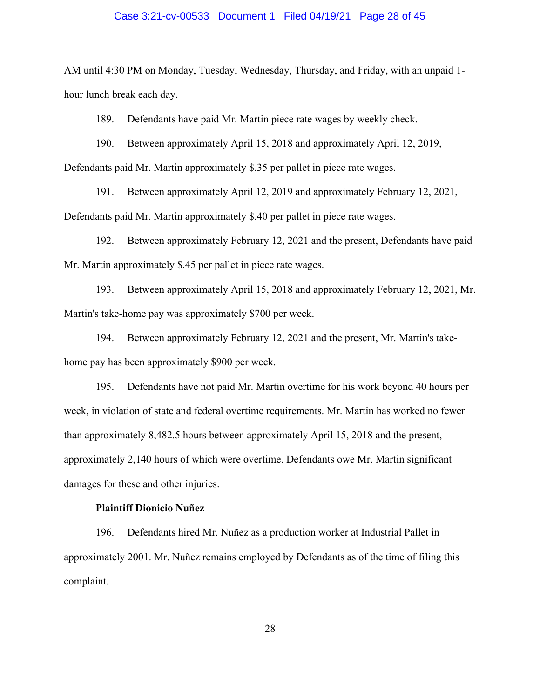# Case 3:21-cv-00533 Document 1 Filed 04/19/21 Page 28 of 45

AM until 4:30 PM on Monday, Tuesday, Wednesday, Thursday, and Friday, with an unpaid 1 hour lunch break each day.

189. Defendants have paid Mr. Martin piece rate wages by weekly check.

190. Between approximately April 15, 2018 and approximately April 12, 2019,

Defendants paid Mr. Martin approximately \$.35 per pallet in piece rate wages.

191. Between approximately April 12, 2019 and approximately February 12, 2021, Defendants paid Mr. Martin approximately \$.40 per pallet in piece rate wages.

192. Between approximately February 12, 2021 and the present, Defendants have paid Mr. Martin approximately \$.45 per pallet in piece rate wages.

193. Between approximately April 15, 2018 and approximately February 12, 2021, Mr. Martin's take-home pay was approximately \$700 per week.

194. Between approximately February 12, 2021 and the present, Mr. Martin's takehome pay has been approximately \$900 per week.

195. Defendants have not paid Mr. Martin overtime for his work beyond 40 hours per week, in violation of state and federal overtime requirements. Mr. Martin has worked no fewer than approximately 8,482.5 hours between approximately April 15, 2018 and the present, approximately 2,140 hours of which were overtime. Defendants owe Mr. Martin significant damages for these and other injuries.

# **Plaintiff Dionicio Nuñez**

196. Defendants hired Mr. Nuñez as a production worker at Industrial Pallet in approximately 2001. Mr. Nuñez remains employed by Defendants as of the time of filing this complaint.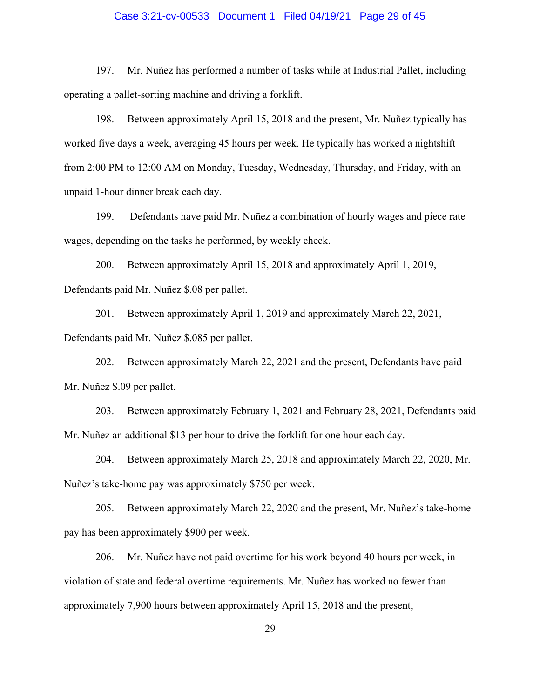# Case 3:21-cv-00533 Document 1 Filed 04/19/21 Page 29 of 45

197. Mr. Nuñez has performed a number of tasks while at Industrial Pallet, including operating a pallet-sorting machine and driving a forklift.

198. Between approximately April 15, 2018 and the present, Mr. Nuñez typically has worked five days a week, averaging 45 hours per week. He typically has worked a nightshift from 2:00 PM to 12:00 AM on Monday, Tuesday, Wednesday, Thursday, and Friday, with an unpaid 1-hour dinner break each day.

199. Defendants have paid Mr. Nuñez a combination of hourly wages and piece rate wages, depending on the tasks he performed, by weekly check.

200. Between approximately April 15, 2018 and approximately April 1, 2019, Defendants paid Mr. Nuñez \$.08 per pallet.

201. Between approximately April 1, 2019 and approximately March 22, 2021, Defendants paid Mr. Nuñez \$.085 per pallet.

202. Between approximately March 22, 2021 and the present, Defendants have paid Mr. Nuñez \$.09 per pallet.

203. Between approximately February 1, 2021 and February 28, 2021, Defendants paid Mr. Nuñez an additional \$13 per hour to drive the forklift for one hour each day.

204. Between approximately March 25, 2018 and approximately March 22, 2020, Mr. Nuñez's take-home pay was approximately \$750 per week.

205. Between approximately March 22, 2020 and the present, Mr. Nuñez's take-home pay has been approximately \$900 per week.

206. Mr. Nuñez have not paid overtime for his work beyond 40 hours per week, in violation of state and federal overtime requirements. Mr. Nuñez has worked no fewer than approximately 7,900 hours between approximately April 15, 2018 and the present,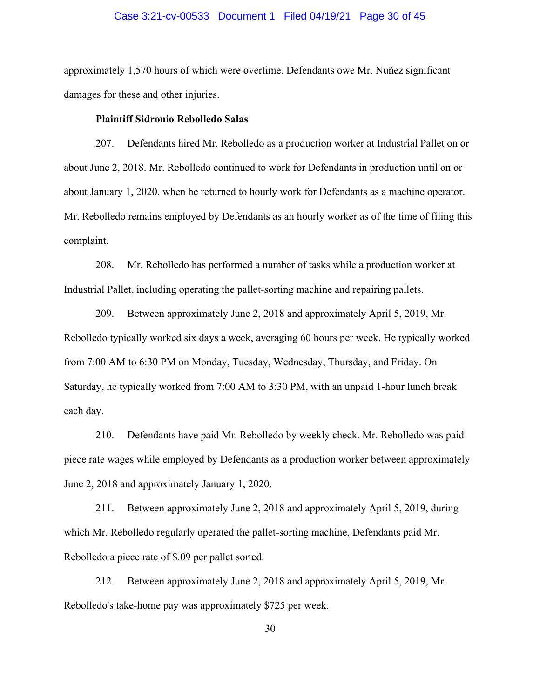# Case 3:21-cv-00533 Document 1 Filed 04/19/21 Page 30 of 45

approximately 1,570 hours of which were overtime. Defendants owe Mr. Nuñez significant damages for these and other injuries.

#### **Plaintiff Sidronio Rebolledo Salas**

207. Defendants hired Mr. Rebolledo as a production worker at Industrial Pallet on or about June 2, 2018. Mr. Rebolledo continued to work for Defendants in production until on or about January 1, 2020, when he returned to hourly work for Defendants as a machine operator. Mr. Rebolledo remains employed by Defendants as an hourly worker as of the time of filing this complaint.

208. Mr. Rebolledo has performed a number of tasks while a production worker at Industrial Pallet, including operating the pallet-sorting machine and repairing pallets.

209. Between approximately June 2, 2018 and approximately April 5, 2019, Mr. Rebolledo typically worked six days a week, averaging 60 hours per week. He typically worked from 7:00 AM to 6:30 PM on Monday, Tuesday, Wednesday, Thursday, and Friday. On Saturday, he typically worked from 7:00 AM to 3:30 PM, with an unpaid 1-hour lunch break each day.

210. Defendants have paid Mr. Rebolledo by weekly check. Mr. Rebolledo was paid piece rate wages while employed by Defendants as a production worker between approximately June 2, 2018 and approximately January 1, 2020.

211. Between approximately June 2, 2018 and approximately April 5, 2019, during which Mr. Rebolledo regularly operated the pallet-sorting machine, Defendants paid Mr. Rebolledo a piece rate of \$.09 per pallet sorted.

212. Between approximately June 2, 2018 and approximately April 5, 2019, Mr. Rebolledo's take-home pay was approximately \$725 per week.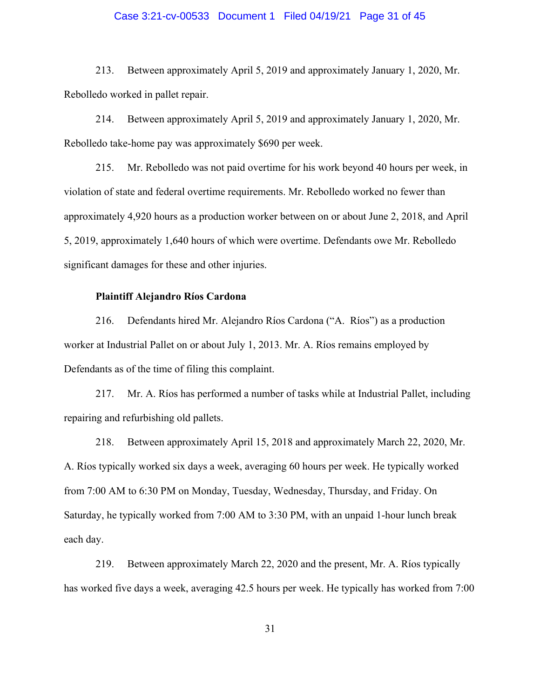# Case 3:21-cv-00533 Document 1 Filed 04/19/21 Page 31 of 45

213. Between approximately April 5, 2019 and approximately January 1, 2020, Mr. Rebolledo worked in pallet repair.

214. Between approximately April 5, 2019 and approximately January 1, 2020, Mr. Rebolledo take-home pay was approximately \$690 per week.

215. Mr. Rebolledo was not paid overtime for his work beyond 40 hours per week, in violation of state and federal overtime requirements. Mr. Rebolledo worked no fewer than approximately 4,920 hours as a production worker between on or about June 2, 2018, and April 5, 2019, approximately 1,640 hours of which were overtime. Defendants owe Mr. Rebolledo significant damages for these and other injuries.

#### **Plaintiff Alejandro Ríos Cardona**

216. Defendants hired Mr. Alejandro Ríos Cardona ("A. Ríos") as a production worker at Industrial Pallet on or about July 1, 2013. Mr. A. Ríos remains employed by Defendants as of the time of filing this complaint.

217. Mr. A. Ríos has performed a number of tasks while at Industrial Pallet, including repairing and refurbishing old pallets.

218. Between approximately April 15, 2018 and approximately March 22, 2020, Mr. A. Ríos typically worked six days a week, averaging 60 hours per week. He typically worked from 7:00 AM to 6:30 PM on Monday, Tuesday, Wednesday, Thursday, and Friday. On Saturday, he typically worked from 7:00 AM to 3:30 PM, with an unpaid 1-hour lunch break each day.

219. Between approximately March 22, 2020 and the present, Mr. A. Ríos typically has worked five days a week, averaging 42.5 hours per week. He typically has worked from 7:00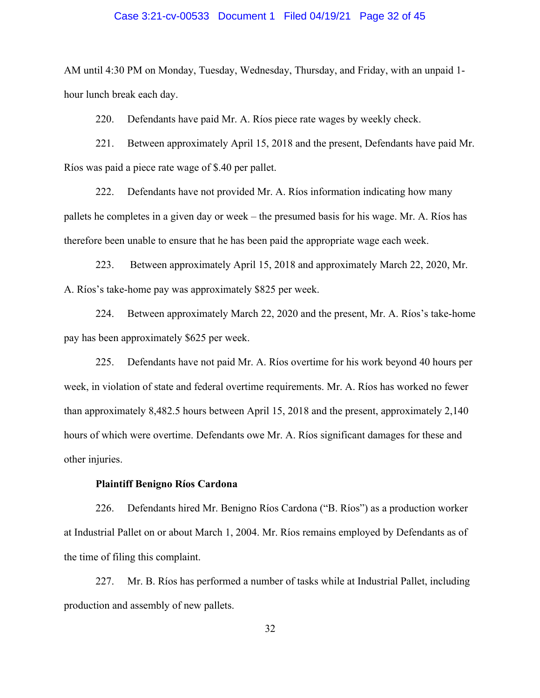# Case 3:21-cv-00533 Document 1 Filed 04/19/21 Page 32 of 45

AM until 4:30 PM on Monday, Tuesday, Wednesday, Thursday, and Friday, with an unpaid 1 hour lunch break each day.

220. Defendants have paid Mr. A. Ríos piece rate wages by weekly check.

221. Between approximately April 15, 2018 and the present, Defendants have paid Mr. Ríos was paid a piece rate wage of \$.40 per pallet.

222. Defendants have not provided Mr. A. Ríos information indicating how many pallets he completes in a given day or week – the presumed basis for his wage. Mr. A. Ríos has therefore been unable to ensure that he has been paid the appropriate wage each week.

223. Between approximately April 15, 2018 and approximately March 22, 2020, Mr. A. Ríos's take-home pay was approximately \$825 per week.

224. Between approximately March 22, 2020 and the present, Mr. A. Ríos's take-home pay has been approximately \$625 per week.

225. Defendants have not paid Mr. A. Ríos overtime for his work beyond 40 hours per week, in violation of state and federal overtime requirements. Mr. A. Ríos has worked no fewer than approximately 8,482.5 hours between April 15, 2018 and the present, approximately 2,140 hours of which were overtime. Defendants owe Mr. A. Ríos significant damages for these and other injuries.

#### **Plaintiff Benigno Ríos Cardona**

226. Defendants hired Mr. Benigno Ríos Cardona ("B. Ríos") as a production worker at Industrial Pallet on or about March 1, 2004. Mr. Ríos remains employed by Defendants as of the time of filing this complaint.

227. Mr. B. Ríos has performed a number of tasks while at Industrial Pallet, including production and assembly of new pallets.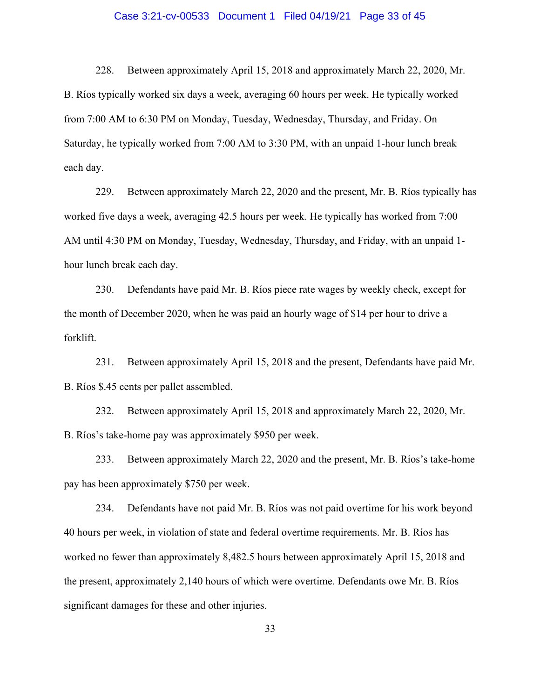# Case 3:21-cv-00533 Document 1 Filed 04/19/21 Page 33 of 45

228. Between approximately April 15, 2018 and approximately March 22, 2020, Mr. B. Ríos typically worked six days a week, averaging 60 hours per week. He typically worked from 7:00 AM to 6:30 PM on Monday, Tuesday, Wednesday, Thursday, and Friday. On Saturday, he typically worked from 7:00 AM to 3:30 PM, with an unpaid 1-hour lunch break each day.

229. Between approximately March 22, 2020 and the present, Mr. B. Ríos typically has worked five days a week, averaging 42.5 hours per week. He typically has worked from 7:00 AM until 4:30 PM on Monday, Tuesday, Wednesday, Thursday, and Friday, with an unpaid 1 hour lunch break each day.

230. Defendants have paid Mr. B. Ríos piece rate wages by weekly check, except for the month of December 2020, when he was paid an hourly wage of \$14 per hour to drive a forklift.

231. Between approximately April 15, 2018 and the present, Defendants have paid Mr. B. Ríos \$.45 cents per pallet assembled.

232. Between approximately April 15, 2018 and approximately March 22, 2020, Mr. B. Ríos's take-home pay was approximately \$950 per week.

233. Between approximately March 22, 2020 and the present, Mr. B. Ríos's take-home pay has been approximately \$750 per week.

234. Defendants have not paid Mr. B. Ríos was not paid overtime for his work beyond 40 hours per week, in violation of state and federal overtime requirements. Mr. B. Ríos has worked no fewer than approximately 8,482.5 hours between approximately April 15, 2018 and the present, approximately 2,140 hours of which were overtime. Defendants owe Mr. B. Ríos significant damages for these and other injuries.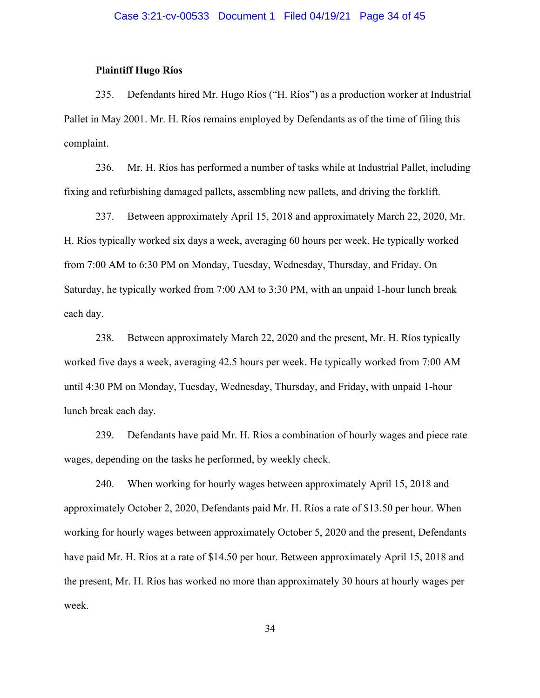# **Plaintiff Hugo Ríos**

235. Defendants hired Mr. Hugo Ríos ("H. Ríos") as a production worker at Industrial Pallet in May 2001. Mr. H. Ríos remains employed by Defendants as of the time of filing this complaint.

236. Mr. H. Ríos has performed a number of tasks while at Industrial Pallet, including fixing and refurbishing damaged pallets, assembling new pallets, and driving the forklift.

237. Between approximately April 15, 2018 and approximately March 22, 2020, Mr. H. Ríos typically worked six days a week, averaging 60 hours per week. He typically worked from 7:00 AM to 6:30 PM on Monday, Tuesday, Wednesday, Thursday, and Friday. On Saturday, he typically worked from 7:00 AM to 3:30 PM, with an unpaid 1-hour lunch break each day.

238. Between approximately March 22, 2020 and the present, Mr. H. Ríos typically worked five days a week, averaging 42.5 hours per week. He typically worked from 7:00 AM until 4:30 PM on Monday, Tuesday, Wednesday, Thursday, and Friday, with unpaid 1-hour lunch break each day.

239. Defendants have paid Mr. H. Ríos a combination of hourly wages and piece rate wages, depending on the tasks he performed, by weekly check.

240. When working for hourly wages between approximately April 15, 2018 and approximately October 2, 2020, Defendants paid Mr. H. Ríos a rate of \$13.50 per hour. When working for hourly wages between approximately October 5, 2020 and the present, Defendants have paid Mr. H. Ríos at a rate of \$14.50 per hour. Between approximately April 15, 2018 and the present, Mr. H. Ríos has worked no more than approximately 30 hours at hourly wages per week.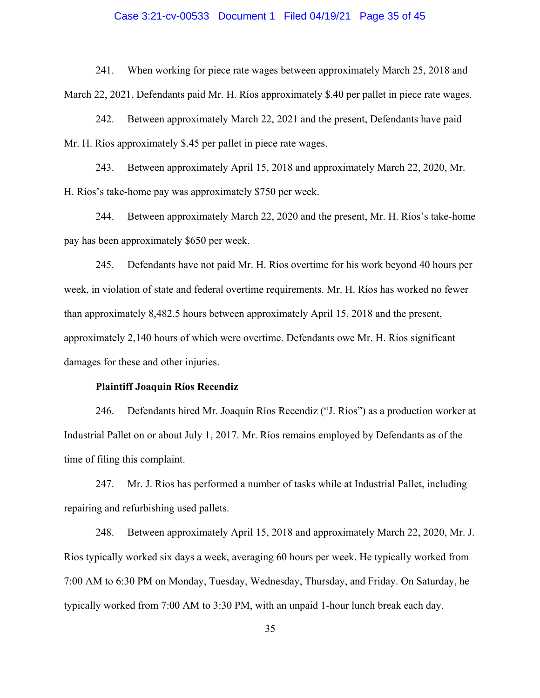# Case 3:21-cv-00533 Document 1 Filed 04/19/21 Page 35 of 45

241. When working for piece rate wages between approximately March 25, 2018 and March 22, 2021, Defendants paid Mr. H. Ríos approximately \$.40 per pallet in piece rate wages.

242. Between approximately March 22, 2021 and the present, Defendants have paid Mr. H. Ríos approximately \$.45 per pallet in piece rate wages.

243. Between approximately April 15, 2018 and approximately March 22, 2020, Mr. H. Ríos's take-home pay was approximately \$750 per week.

244. Between approximately March 22, 2020 and the present, Mr. H. Ríos's take-home pay has been approximately \$650 per week.

245. Defendants have not paid Mr. H. Ríos overtime for his work beyond 40 hours per week, in violation of state and federal overtime requirements. Mr. H. Ríos has worked no fewer than approximately 8,482.5 hours between approximately April 15, 2018 and the present, approximately 2,140 hours of which were overtime. Defendants owe Mr. H. Rios significant damages for these and other injuries.

#### **Plaintiff Joaquin Ríos Recendiz**

246. Defendants hired Mr. Joaquin Ríos Recendiz ("J. Ríos") as a production worker at Industrial Pallet on or about July 1, 2017. Mr. Ríos remains employed by Defendants as of the time of filing this complaint.

247. Mr. J. Ríos has performed a number of tasks while at Industrial Pallet, including repairing and refurbishing used pallets.

248. Between approximately April 15, 2018 and approximately March 22, 2020, Mr. J. Ríos typically worked six days a week, averaging 60 hours per week. He typically worked from 7:00 AM to 6:30 PM on Monday, Tuesday, Wednesday, Thursday, and Friday. On Saturday, he typically worked from 7:00 AM to 3:30 PM, with an unpaid 1-hour lunch break each day.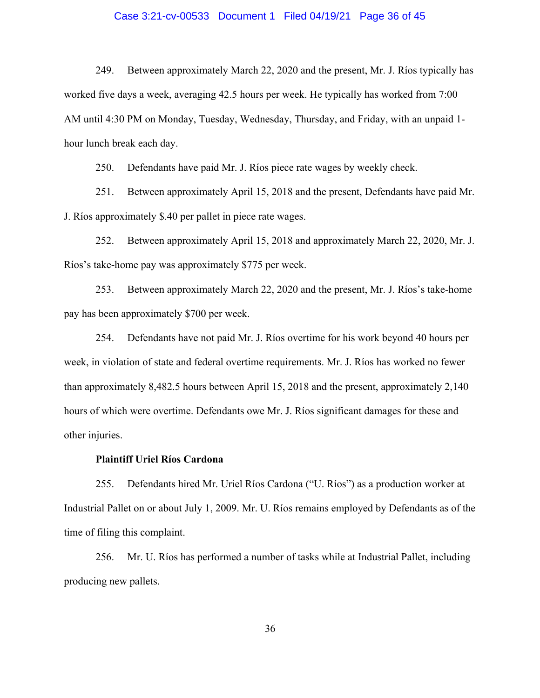# Case 3:21-cv-00533 Document 1 Filed 04/19/21 Page 36 of 45

249. Between approximately March 22, 2020 and the present, Mr. J. Ríos typically has worked five days a week, averaging 42.5 hours per week. He typically has worked from 7:00 AM until 4:30 PM on Monday, Tuesday, Wednesday, Thursday, and Friday, with an unpaid 1 hour lunch break each day.

250. Defendants have paid Mr. J. Ríos piece rate wages by weekly check.

251. Between approximately April 15, 2018 and the present, Defendants have paid Mr. J. Ríos approximately \$.40 per pallet in piece rate wages.

252. Between approximately April 15, 2018 and approximately March 22, 2020, Mr. J. Ríos's take-home pay was approximately \$775 per week.

253. Between approximately March 22, 2020 and the present, Mr. J. Ríos's take-home pay has been approximately \$700 per week.

254. Defendants have not paid Mr. J. Ríos overtime for his work beyond 40 hours per week, in violation of state and federal overtime requirements. Mr. J. Ríos has worked no fewer than approximately 8,482.5 hours between April 15, 2018 and the present, approximately 2,140 hours of which were overtime. Defendants owe Mr. J. Ríos significant damages for these and other injuries.

# **Plaintiff Uriel Ríos Cardona**

255. Defendants hired Mr. Uriel Ríos Cardona ("U. Ríos") as a production worker at Industrial Pallet on or about July 1, 2009. Mr. U. Ríos remains employed by Defendants as of the time of filing this complaint.

256. Mr. U. Ríos has performed a number of tasks while at Industrial Pallet, including producing new pallets.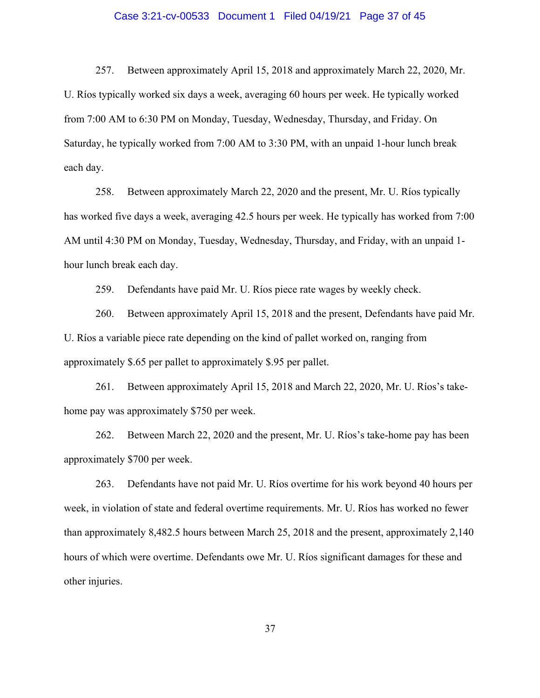# Case 3:21-cv-00533 Document 1 Filed 04/19/21 Page 37 of 45

257. Between approximately April 15, 2018 and approximately March 22, 2020, Mr. U. Ríos typically worked six days a week, averaging 60 hours per week. He typically worked from 7:00 AM to 6:30 PM on Monday, Tuesday, Wednesday, Thursday, and Friday. On Saturday, he typically worked from 7:00 AM to 3:30 PM, with an unpaid 1-hour lunch break each day.

258. Between approximately March 22, 2020 and the present, Mr. U. Ríos typically has worked five days a week, averaging 42.5 hours per week. He typically has worked from 7:00 AM until 4:30 PM on Monday, Tuesday, Wednesday, Thursday, and Friday, with an unpaid 1 hour lunch break each day.

259. Defendants have paid Mr. U. Ríos piece rate wages by weekly check.

260. Between approximately April 15, 2018 and the present, Defendants have paid Mr. U. Ríos a variable piece rate depending on the kind of pallet worked on, ranging from approximately \$.65 per pallet to approximately \$.95 per pallet.

261. Between approximately April 15, 2018 and March 22, 2020, Mr. U. Ríos's takehome pay was approximately \$750 per week.

262. Between March 22, 2020 and the present, Mr. U. Ríos's take-home pay has been approximately \$700 per week.

263. Defendants have not paid Mr. U. Ríos overtime for his work beyond 40 hours per week, in violation of state and federal overtime requirements. Mr. U. Ríos has worked no fewer than approximately 8,482.5 hours between March 25, 2018 and the present, approximately 2,140 hours of which were overtime. Defendants owe Mr. U. Ríos significant damages for these and other injuries.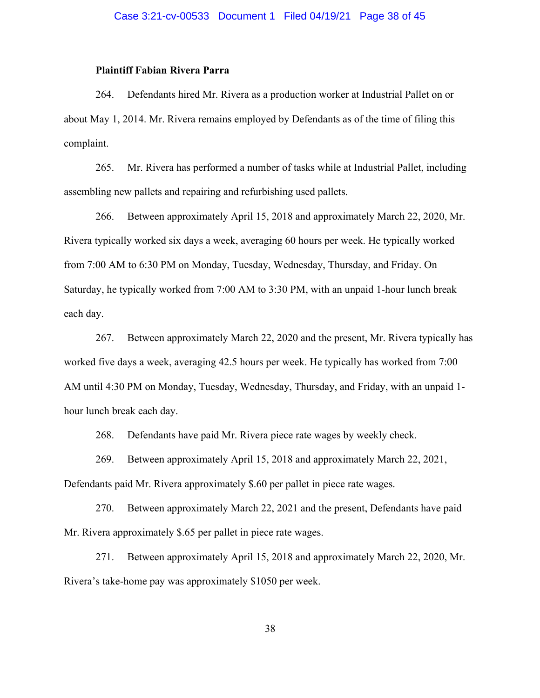# **Plaintiff Fabian Rivera Parra**

264. Defendants hired Mr. Rivera as a production worker at Industrial Pallet on or about May 1, 2014. Mr. Rivera remains employed by Defendants as of the time of filing this complaint.

265. Mr. Rivera has performed a number of tasks while at Industrial Pallet, including assembling new pallets and repairing and refurbishing used pallets.

266. Between approximately April 15, 2018 and approximately March 22, 2020, Mr. Rivera typically worked six days a week, averaging 60 hours per week. He typically worked from 7:00 AM to 6:30 PM on Monday, Tuesday, Wednesday, Thursday, and Friday. On Saturday, he typically worked from 7:00 AM to 3:30 PM, with an unpaid 1-hour lunch break each day.

267. Between approximately March 22, 2020 and the present, Mr. Rivera typically has worked five days a week, averaging 42.5 hours per week. He typically has worked from 7:00 AM until 4:30 PM on Monday, Tuesday, Wednesday, Thursday, and Friday, with an unpaid 1 hour lunch break each day.

268. Defendants have paid Mr. Rivera piece rate wages by weekly check.

269. Between approximately April 15, 2018 and approximately March 22, 2021,

Defendants paid Mr. Rivera approximately \$.60 per pallet in piece rate wages.

270. Between approximately March 22, 2021 and the present, Defendants have paid Mr. Rivera approximately \$.65 per pallet in piece rate wages.

271. Between approximately April 15, 2018 and approximately March 22, 2020, Mr. Rivera's take-home pay was approximately \$1050 per week.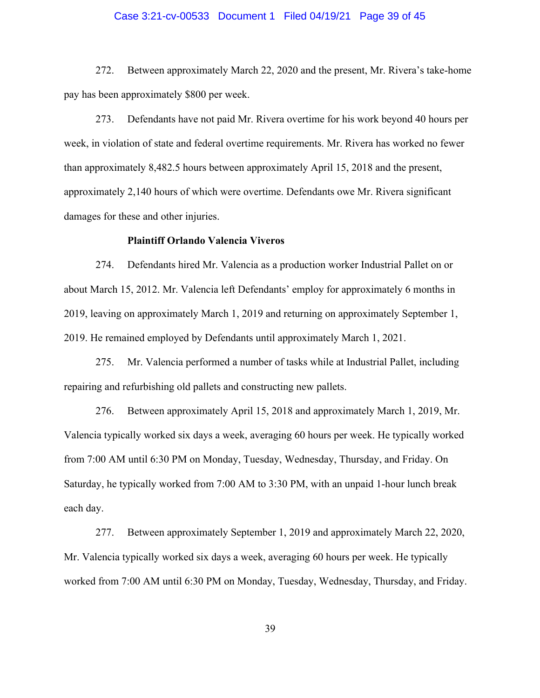# Case 3:21-cv-00533 Document 1 Filed 04/19/21 Page 39 of 45

272. Between approximately March 22, 2020 and the present, Mr. Rivera's take-home pay has been approximately \$800 per week.

273. Defendants have not paid Mr. Rivera overtime for his work beyond 40 hours per week, in violation of state and federal overtime requirements. Mr. Rivera has worked no fewer than approximately 8,482.5 hours between approximately April 15, 2018 and the present, approximately 2,140 hours of which were overtime. Defendants owe Mr. Rivera significant damages for these and other injuries.

#### **Plaintiff Orlando Valencia Viveros**

274. Defendants hired Mr. Valencia as a production worker Industrial Pallet on or about March 15, 2012. Mr. Valencia left Defendants' employ for approximately 6 months in 2019, leaving on approximately March 1, 2019 and returning on approximately September 1, 2019. He remained employed by Defendants until approximately March 1, 2021.

275. Mr. Valencia performed a number of tasks while at Industrial Pallet, including repairing and refurbishing old pallets and constructing new pallets.

276. Between approximately April 15, 2018 and approximately March 1, 2019, Mr. Valencia typically worked six days a week, averaging 60 hours per week. He typically worked from 7:00 AM until 6:30 PM on Monday, Tuesday, Wednesday, Thursday, and Friday. On Saturday, he typically worked from 7:00 AM to 3:30 PM, with an unpaid 1-hour lunch break each day.

277. Between approximately September 1, 2019 and approximately March 22, 2020, Mr. Valencia typically worked six days a week, averaging 60 hours per week. He typically worked from 7:00 AM until 6:30 PM on Monday, Tuesday, Wednesday, Thursday, and Friday.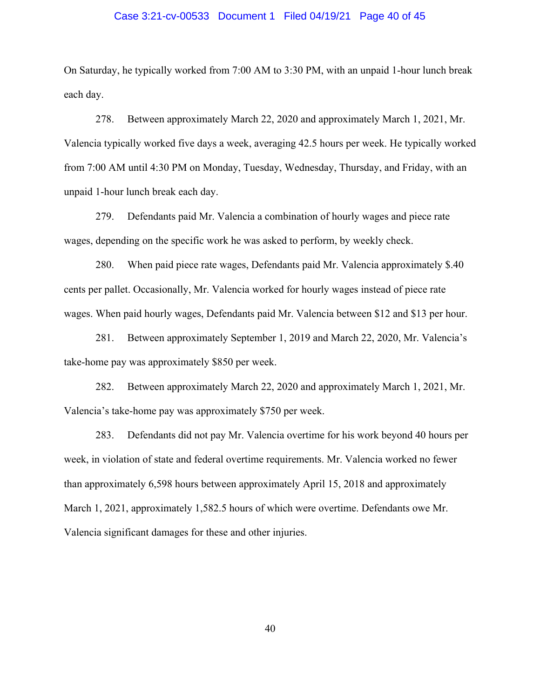#### Case 3:21-cv-00533 Document 1 Filed 04/19/21 Page 40 of 45

On Saturday, he typically worked from 7:00 AM to 3:30 PM, with an unpaid 1-hour lunch break each day.

278. Between approximately March 22, 2020 and approximately March 1, 2021, Mr. Valencia typically worked five days a week, averaging 42.5 hours per week. He typically worked from 7:00 AM until 4:30 PM on Monday, Tuesday, Wednesday, Thursday, and Friday, with an unpaid 1-hour lunch break each day.

279. Defendants paid Mr. Valencia a combination of hourly wages and piece rate wages, depending on the specific work he was asked to perform, by weekly check.

280. When paid piece rate wages, Defendants paid Mr. Valencia approximately \$.40 cents per pallet. Occasionally, Mr. Valencia worked for hourly wages instead of piece rate wages. When paid hourly wages, Defendants paid Mr. Valencia between \$12 and \$13 per hour.

281. Between approximately September 1, 2019 and March 22, 2020, Mr. Valencia's take-home pay was approximately \$850 per week.

282. Between approximately March 22, 2020 and approximately March 1, 2021, Mr. Valencia's take-home pay was approximately \$750 per week.

283. Defendants did not pay Mr. Valencia overtime for his work beyond 40 hours per week, in violation of state and federal overtime requirements. Mr. Valencia worked no fewer than approximately 6,598 hours between approximately April 15, 2018 and approximately March 1, 2021, approximately 1,582.5 hours of which were overtime. Defendants owe Mr. Valencia significant damages for these and other injuries.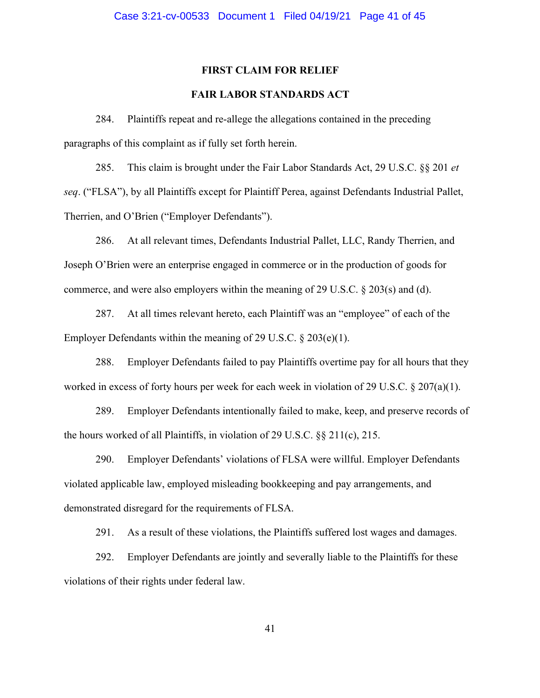#### **FIRST CLAIM FOR RELIEF**

# **FAIR LABOR STANDARDS ACT**

284. Plaintiffs repeat and re-allege the allegations contained in the preceding paragraphs of this complaint as if fully set forth herein.

285. This claim is brought under the Fair Labor Standards Act, 29 U.S.C. §§ 201 *et seq*. ("FLSA"), by all Plaintiffs except for Plaintiff Perea, against Defendants Industrial Pallet, Therrien, and O'Brien ("Employer Defendants").

286. At all relevant times, Defendants Industrial Pallet, LLC, Randy Therrien, and Joseph O'Brien were an enterprise engaged in commerce or in the production of goods for commerce, and were also employers within the meaning of 29 U.S.C.  $\S$  203(s) and (d).

287. At all times relevant hereto, each Plaintiff was an "employee" of each of the Employer Defendants within the meaning of 29 U.S.C. § 203(e)(1).

288. Employer Defendants failed to pay Plaintiffs overtime pay for all hours that they worked in excess of forty hours per week for each week in violation of 29 U.S.C. § 207(a)(1).

289. Employer Defendants intentionally failed to make, keep, and preserve records of the hours worked of all Plaintiffs, in violation of 29 U.S.C. §§ 211(c), 215.

290. Employer Defendants' violations of FLSA were willful. Employer Defendants violated applicable law, employed misleading bookkeeping and pay arrangements, and demonstrated disregard for the requirements of FLSA.

291. As a result of these violations, the Plaintiffs suffered lost wages and damages.

292. Employer Defendants are jointly and severally liable to the Plaintiffs for these violations of their rights under federal law.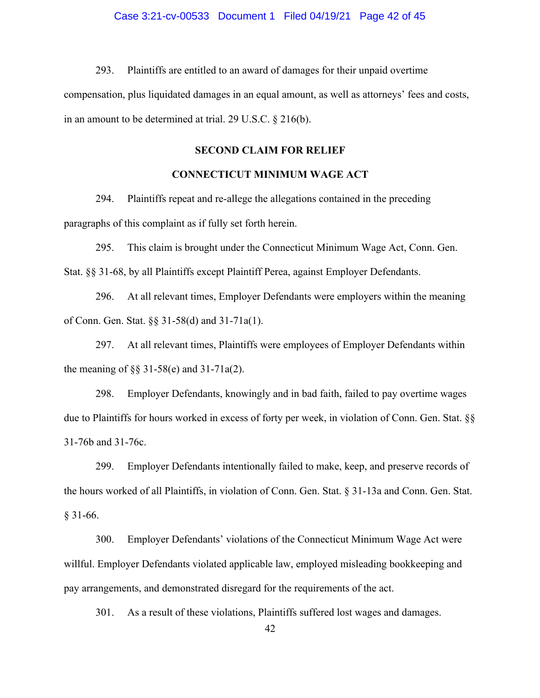#### Case 3:21-cv-00533 Document 1 Filed 04/19/21 Page 42 of 45

293. Plaintiffs are entitled to an award of damages for their unpaid overtime compensation, plus liquidated damages in an equal amount, as well as attorneys' fees and costs, in an amount to be determined at trial. 29 U.S.C. § 216(b).

# **SECOND CLAIM FOR RELIEF**

# **CONNECTICUT MINIMUM WAGE ACT**

294. Plaintiffs repeat and re-allege the allegations contained in the preceding paragraphs of this complaint as if fully set forth herein.

295. This claim is brought under the Connecticut Minimum Wage Act, Conn. Gen. Stat. §§ 31-68, by all Plaintiffs except Plaintiff Perea, against Employer Defendants.

296. At all relevant times, Employer Defendants were employers within the meaning of Conn. Gen. Stat. §§ 31-58(d) and 31-71a(1).

297. At all relevant times, Plaintiffs were employees of Employer Defendants within the meaning of §§ 31-58(e) and 31-71a(2).

298. Employer Defendants, knowingly and in bad faith, failed to pay overtime wages due to Plaintiffs for hours worked in excess of forty per week, in violation of Conn. Gen. Stat. §§ 31-76b and 31-76c.

299. Employer Defendants intentionally failed to make, keep, and preserve records of the hours worked of all Plaintiffs, in violation of Conn. Gen. Stat. § 31-13a and Conn. Gen. Stat. § 31-66.

300. Employer Defendants' violations of the Connecticut Minimum Wage Act were willful. Employer Defendants violated applicable law, employed misleading bookkeeping and pay arrangements, and demonstrated disregard for the requirements of the act.

301. As a result of these violations, Plaintiffs suffered lost wages and damages.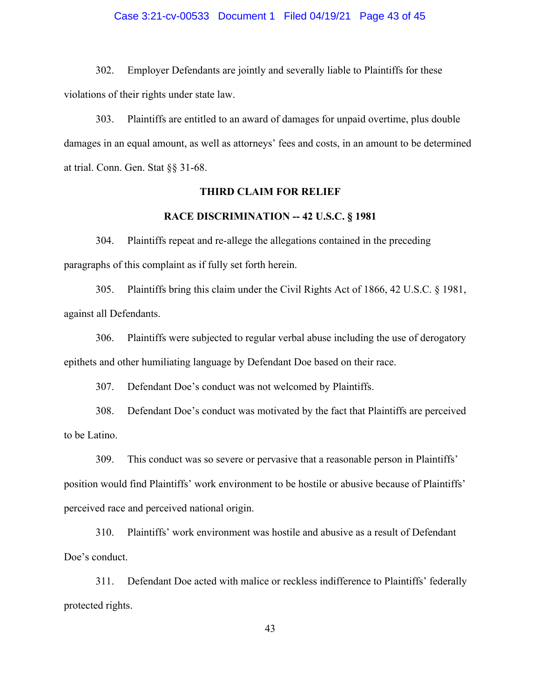#### Case 3:21-cv-00533 Document 1 Filed 04/19/21 Page 43 of 45

302. Employer Defendants are jointly and severally liable to Plaintiffs for these violations of their rights under state law.

303. Plaintiffs are entitled to an award of damages for unpaid overtime, plus double damages in an equal amount, as well as attorneys' fees and costs, in an amount to be determined at trial. Conn. Gen. Stat §§ 31-68.

# **THIRD CLAIM FOR RELIEF**

# **RACE DISCRIMINATION -- 42 U.S.C. § 1981**

304. Plaintiffs repeat and re-allege the allegations contained in the preceding paragraphs of this complaint as if fully set forth herein.

305. Plaintiffs bring this claim under the Civil Rights Act of 1866, 42 U.S.C. § 1981, against all Defendants.

306. Plaintiffs were subjected to regular verbal abuse including the use of derogatory epithets and other humiliating language by Defendant Doe based on their race.

307. Defendant Doe's conduct was not welcomed by Plaintiffs.

308. Defendant Doe's conduct was motivated by the fact that Plaintiffs are perceived to be Latino.

309. This conduct was so severe or pervasive that a reasonable person in Plaintiffs' position would find Plaintiffs' work environment to be hostile or abusive because of Plaintiffs' perceived race and perceived national origin.

310. Plaintiffs' work environment was hostile and abusive as a result of Defendant Doe's conduct.

311. Defendant Doe acted with malice or reckless indifference to Plaintiffs' federally protected rights.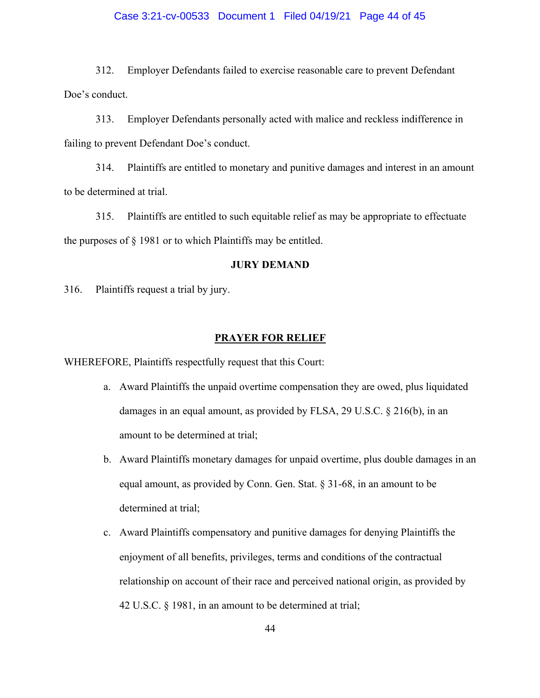# Case 3:21-cv-00533 Document 1 Filed 04/19/21 Page 44 of 45

312. Employer Defendants failed to exercise reasonable care to prevent Defendant Doe's conduct.

313. Employer Defendants personally acted with malice and reckless indifference in failing to prevent Defendant Doe's conduct.

314. Plaintiffs are entitled to monetary and punitive damages and interest in an amount to be determined at trial.

315. Plaintiffs are entitled to such equitable relief as may be appropriate to effectuate the purposes of § 1981 or to which Plaintiffs may be entitled.

#### **JURY DEMAND**

316. Plaintiffs request a trial by jury.

#### **PRAYER FOR RELIEF**

WHEREFORE, Plaintiffs respectfully request that this Court:

- a. Award Plaintiffs the unpaid overtime compensation they are owed, plus liquidated damages in an equal amount, as provided by FLSA, 29 U.S.C. § 216(b), in an amount to be determined at trial;
- b. Award Plaintiffs monetary damages for unpaid overtime, plus double damages in an equal amount, as provided by Conn. Gen. Stat. § 31-68, in an amount to be determined at trial;
- c. Award Plaintiffs compensatory and punitive damages for denying Plaintiffs the enjoyment of all benefits, privileges, terms and conditions of the contractual relationship on account of their race and perceived national origin, as provided by 42 U.S.C. § 1981, in an amount to be determined at trial;